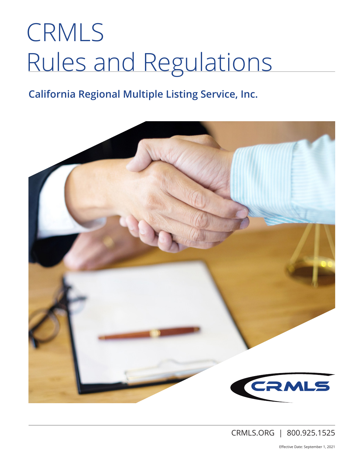# CRMLS Rules and Regulations

### **California Regional Multiple Listing Service, Inc.**



CRMLS.ORG | 800.925.1525

Effective Date: September 1, 2021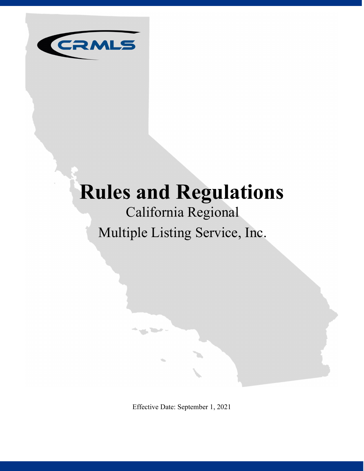

## **Rules and Regulations**

## California Regional Multiple Listing Service, Inc.

Effective Date: September 1, 2021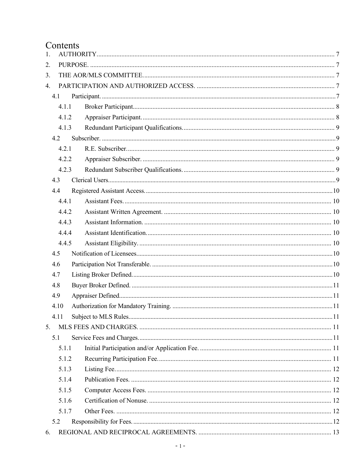#### Contents

| 1. |       |     |
|----|-------|-----|
| 2. |       |     |
| 3. |       |     |
| 4. |       |     |
|    | 4.1   |     |
|    | 4.1.1 |     |
|    | 4.1.2 |     |
|    | 4.1.3 |     |
|    | 4.2   |     |
|    | 4.2.1 |     |
|    | 4.2.2 |     |
|    | 4.2.3 |     |
|    | 4.3   |     |
|    | 4.4   |     |
|    | 4.4.1 |     |
|    | 4.4.2 |     |
|    | 4.4.3 |     |
|    | 4.4.4 |     |
|    | 4.4.5 |     |
|    | 4.5   |     |
|    | 4.6   |     |
|    | 4.7   |     |
|    | 4.8   |     |
|    | 4.9   |     |
|    | 4.10  |     |
|    | 4.11  | .11 |
|    |       |     |
|    | 5.1   |     |
|    | 5.1.1 |     |
|    | 5.1.2 |     |
|    | 5.1.3 |     |
|    | 5.1.4 |     |
|    | 5.1.5 |     |
|    | 5.1.6 |     |
|    | 5.1.7 |     |
|    | 5.2   |     |
| 6. |       |     |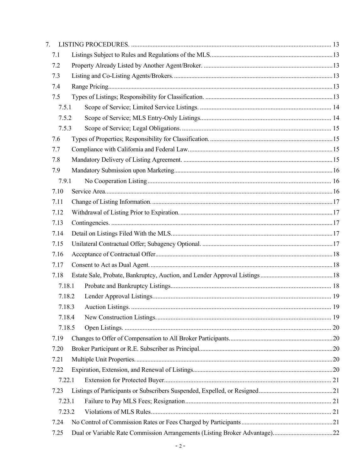| 7.     |        |  |
|--------|--------|--|
| 7.1    |        |  |
| 7.2    |        |  |
| 7.3    |        |  |
| 7.4    |        |  |
| 7.5    |        |  |
| 7.5.1  |        |  |
| 7.5.2  |        |  |
| 7.5.3  |        |  |
| 7.6    |        |  |
| 7.7    |        |  |
| 7.8    |        |  |
| 7.9    |        |  |
| 7.9.1  |        |  |
| 7.10   |        |  |
| 7.11   |        |  |
| 7.12   |        |  |
| 7.13   |        |  |
| 7.14   |        |  |
| 7.15   |        |  |
| 7.16   |        |  |
| 7.17   |        |  |
| 7.18   |        |  |
|        | 7.18.1 |  |
|        | 7.18.2 |  |
|        |        |  |
|        | 7.18.4 |  |
|        | 7.18.5 |  |
| 7.19   |        |  |
| 7.20   |        |  |
| 7.21   |        |  |
| 7.22   |        |  |
|        | 7.22.1 |  |
| 7.23   |        |  |
| 7.23.1 |        |  |
|        | 7.23.2 |  |
| 7.24   |        |  |
| 7.25   |        |  |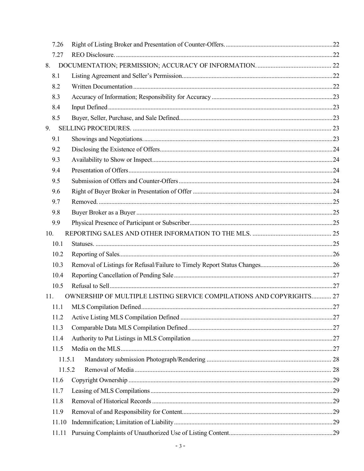| 7.26   |                                                                      |  |
|--------|----------------------------------------------------------------------|--|
| 7.27   |                                                                      |  |
| 8.     |                                                                      |  |
| 8.1    |                                                                      |  |
| 8.2    |                                                                      |  |
| 8.3    |                                                                      |  |
| 8.4    |                                                                      |  |
| 8.5    |                                                                      |  |
| 9.     |                                                                      |  |
| 9.1    |                                                                      |  |
| 9.2    |                                                                      |  |
| 9.3    |                                                                      |  |
| 9.4    |                                                                      |  |
| 9.5    |                                                                      |  |
| 9.6    |                                                                      |  |
| 9.7    |                                                                      |  |
| 9.8    |                                                                      |  |
| 9.9    |                                                                      |  |
| 10.    |                                                                      |  |
| 10.1   |                                                                      |  |
| 10.2   |                                                                      |  |
| 10.3   |                                                                      |  |
| 10.4   |                                                                      |  |
| 10.5   |                                                                      |  |
| 11.    | OWNERSHIP OF MULTIPLE LISTING SERVICE COMPILATIONS AND COPYRIGHTS 27 |  |
|        |                                                                      |  |
| 11.2   |                                                                      |  |
| 11.3   |                                                                      |  |
| 11.4   |                                                                      |  |
| 11.5   |                                                                      |  |
| 11.5.1 |                                                                      |  |
| 11.5.2 |                                                                      |  |
| 11.6   |                                                                      |  |
| 11.7   |                                                                      |  |
| 11.8   |                                                                      |  |
| 11.9   |                                                                      |  |
| 11.10  |                                                                      |  |
| 11.11  |                                                                      |  |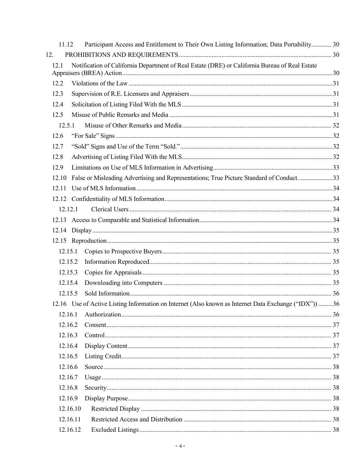| Participant Access and Entitlement to Their Own Listing Information; Data Portability 30              |  |
|-------------------------------------------------------------------------------------------------------|--|
|                                                                                                       |  |
| Notification of California Department of Real Estate (DRE) or California Bureau of Real Estate        |  |
|                                                                                                       |  |
|                                                                                                       |  |
|                                                                                                       |  |
|                                                                                                       |  |
|                                                                                                       |  |
|                                                                                                       |  |
|                                                                                                       |  |
|                                                                                                       |  |
|                                                                                                       |  |
| False or Misleading Advertising and Representations; True Picture Standard of Conduct. 33             |  |
|                                                                                                       |  |
|                                                                                                       |  |
|                                                                                                       |  |
|                                                                                                       |  |
|                                                                                                       |  |
|                                                                                                       |  |
|                                                                                                       |  |
|                                                                                                       |  |
|                                                                                                       |  |
|                                                                                                       |  |
|                                                                                                       |  |
| 12.16 Use of Active Listing Information on Internet (Also known as Internet Data Exchange ("IDX")) 36 |  |
|                                                                                                       |  |
|                                                                                                       |  |
|                                                                                                       |  |
|                                                                                                       |  |
|                                                                                                       |  |
|                                                                                                       |  |
|                                                                                                       |  |
|                                                                                                       |  |
|                                                                                                       |  |
| 12.16.10                                                                                              |  |
|                                                                                                       |  |
| 12.16.12                                                                                              |  |
|                                                                                                       |  |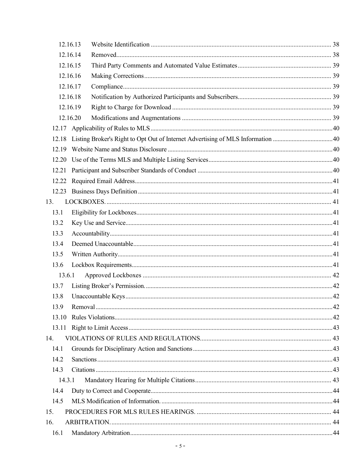| 12.16.13 |  |
|----------|--|
| 12.16.14 |  |
| 12.16.15 |  |
| 12.16.16 |  |
| 12.16.17 |  |
| 12.16.18 |  |
| 12.16.19 |  |
| 12.16.20 |  |
|          |  |
| 12.18    |  |
|          |  |
|          |  |
| 12.21    |  |
| 12.22    |  |
|          |  |
| 13.      |  |
| 13.1     |  |
| 13.2     |  |
| 13.3     |  |
| 13.4     |  |
| 13.5     |  |
| 13.6     |  |
| 13.6.1   |  |
| 13.7     |  |
| 13.8     |  |
|          |  |
| 13.10    |  |
| 13.11    |  |
| 14.      |  |
| 14.1     |  |
| 14.2     |  |
| 14.3     |  |
| 14.3.1   |  |
| 14.4     |  |
| 14.5     |  |
| 15.      |  |
| 16.      |  |
| 16.1     |  |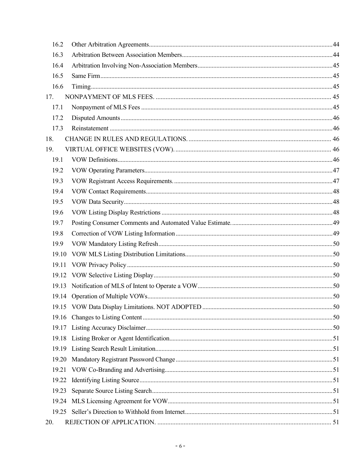| 16.2  |  |
|-------|--|
| 16.3  |  |
| 16.4  |  |
| 16.5  |  |
| 16.6  |  |
| 17.   |  |
| 17.1  |  |
| 17.2  |  |
| 17.3  |  |
| 18.   |  |
| 19.   |  |
| 19.1  |  |
| 19.2  |  |
| 19.3  |  |
| 19.4  |  |
| 19.5  |  |
| 19.6  |  |
| 19.7  |  |
| 19.8  |  |
| 19.9  |  |
| 19.10 |  |
| 19.11 |  |
|       |  |
|       |  |
|       |  |
|       |  |
| 19.16 |  |
| 19.17 |  |
| 19.18 |  |
| 19.19 |  |
| 19.20 |  |
| 19.21 |  |
| 19.22 |  |
| 19.23 |  |
|       |  |
|       |  |
| 20.   |  |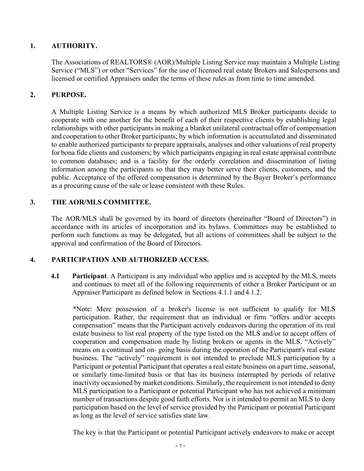#### <span id="page-8-0"></span>**1. AUTHORITY.**

The Associations of REALTORS® (AOR)/Multiple Listing Service may maintain a Multiple Listing Service ("MLS") or other "Services" for the use of licensed real estate Brokers and Salespersons and licensed or certified Appraisers under the terms of these rules as from time to time amended.

#### <span id="page-8-1"></span>**2. PURPOSE.**

A Multiple Listing Service is a means by which authorized MLS Broker participants decide to cooperate with one another for the benefit of each of their respective clients by establishing legal relationships with other participants in making a blanket unilateral contractual offer of compensation and cooperation to other Broker participants; by which information is accumulated and disseminated to enable authorized participants to prepare appraisals, analyses and other valuations of real property for bona fide clients and customers; by which participants engaging in real estate appraisal contribute to common databases; and is a facility for the orderly correlation and dissemination of listing information among the participants so that they may better serve their clients, customers, and the public. Acceptance of the offered compensation is determined by the Buyer Broker's performance as a procuring cause of the sale or lease consistent with these Rules.

#### <span id="page-8-2"></span>**3. THE AOR/MLS COMMITTEE.**

The AOR/MLS shall be governed by its board of directors (hereinafter "Board of Directors") in accordance with its articles of incorporation and its bylaws. Committees may be established to perform such functions as may be delegated, but all actions of committees shall be subject to the approval and confirmation of the Board of Directors.

#### <span id="page-8-4"></span><span id="page-8-3"></span>**4. PARTICIPATION AND AUTHORIZED ACCESS.**

**4.1 Participant**. A Participant is any individual who applies and is accepted by the MLS, meets and continues to meet all of the following requirements of either a Broker Participant or an Appraiser Participant as defined below in Sections 4.1.1 and 4.1.2.

\*Note: Mere possession of a broker's license is not sufficient to qualify for MLS participation. Rather, the requirement that an individual or firm "offers and/or accepts compensation" means that the Participant actively endeavors during the operation of its real estate business to list real property of the type listed on the MLS and/or to accept offers of cooperation and compensation made by listing brokers or agents in the MLS. "Actively" means on a continual and on- going basis during the operation of the Participant's real estate business. The "actively" requirement is not intended to preclude MLS participation by a Participant or potential Participant that operates a real estate business on apart time, seasonal, or similarly time-limited basis or that has its business interrupted by periods of relative inactivity occasioned by market conditions. Similarly, the requirement is not intended to deny MLS participation to a Participant or potential Participant who has not achieved a minimum number of transactions despite good faith efforts. Nor is it intended to permit an MLS to deny participation based on the level of service provided by the Participant or potential Participant as long as the level of service satisfies state law.

The key is that the Participant or potential Participant actively endeavors to make or accept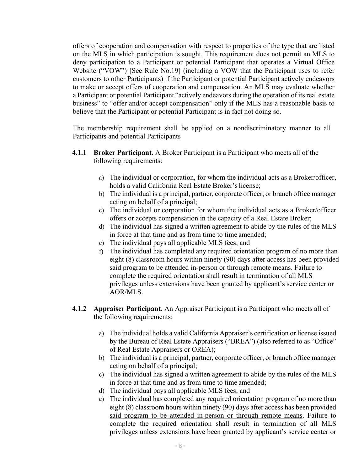offers of cooperation and compensation with respect to properties of the type that are listed on the MLS in which participation is sought. This requirement does not permit an MLS to deny participation to a Participant or potential Participant that operates a Virtual Office Website ("VOW") [See Rule No.19] (including a VOW that the Participant uses to refer customers to other Participants) if the Participant or potential Participant actively endeavors to make or accept offers of cooperation and compensation. An MLS may evaluate whether a Participant or potential Participant "actively endeavors during the operation of its real estate business" to "offer and/or accept compensation" only if the MLS has a reasonable basis to believe that the Participant or potential Participant is in fact not doing so.

The membership requirement shall be applied on a nondiscriminatory manner to all Participants and potential Participants

- <span id="page-9-0"></span>**4.1.1 Broker Participant.** A Broker Participant is a Participant who meets all of the following requirements:
	- a) The individual or corporation, for whom the individual acts as a Broker/officer, holds a valid California Real Estate Broker's license;
	- b) The individual is a principal, partner, corporate officer, or branch office manager acting on behalf of a principal;
	- c) The individual or corporation for whom the individual acts as a Broker/officer offers or accepts compensation in the capacity of a Real Estate Broker;
	- d) The individual has signed a written agreement to abide by the rules of the MLS in force at that time and as from time to time amended;
	- e) The individual pays all applicable MLS fees; and
	- f) The individual has completed any required orientation program of no more than eight (8) classroom hours within ninety (90) days after access has been provided said program to be attended in-person or through remote means. Failure to complete the required orientation shall result in termination of all MLS privileges unless extensions have been granted by applicant's service center or AOR/MLS.
- <span id="page-9-1"></span>**4.1.2 Appraiser Participant.** An Appraiser Participant is a Participant who meets all of the following requirements:
	- a) The individual holds a valid California Appraiser's certification or license issued by the Bureau of Real Estate Appraisers ("BREA") (also referred to as "Office" of Real Estate Appraisers or OREA);
	- b) The individual is a principal, partner, corporate officer, or branch office manager acting on behalf of a principal;
	- c) The individual has signed a written agreement to abide by the rules of the MLS in force at that time and as from time to time amended;
	- d) The individual pays all applicable MLS fees; and
	- e) The individual has completed any required orientation program of no more than eight (8) classroom hours within ninety (90) days after access has been provided said program to be attended in-person or through remote means. Failure to complete the required orientation shall result in termination of all MLS privileges unless extensions have been granted by applicant's service center or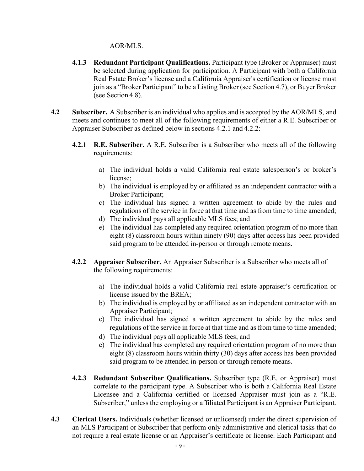#### AOR/MLS.

- <span id="page-10-0"></span>**4.1.3 Redundant Participant Qualifications.** Participant type (Broker or Appraiser) must be selected during application for participation. A Participant with both a California Real Estate Broker's license and a California Appraiser's certification or license must join as a "Broker Participant" to be a Listing Broker (see Section 4.7), or Buyer Broker (see Section 4.8).
- <span id="page-10-3"></span><span id="page-10-2"></span><span id="page-10-1"></span>**4.2 Subscriber.** A Subscriber is an individual who applies and is accepted by the AOR/MLS, and meets and continues to meet all of the following requirements of either a R.E. Subscriber or Appraiser Subscriber as defined below in sections 4.2.1 and 4.2.2:
	- **4.2.1 R.E. Subscriber.** A R.E. Subscriber is a Subscriber who meets all of the following requirements:
		- a) The individual holds a valid California real estate salesperson's or broker's license;
		- b) The individual is employed by or affiliated as an independent contractor with a Broker Participant;
		- c) The individual has signed a written agreement to abide by the rules and regulations of the service in force at that time and as from time to time amended;
		- d) The individual pays all applicable MLS fees; and
		- e) The individual has completed any required orientation program of no more than eight (8) classroom hours within ninety (90) days after access has been provided said program to be attended in-person or through remote means.
	- **4.2.2 Appraiser Subscriber.** An Appraiser Subscriber is a Subscriber who meets all of the following requirements:
		- a) The individual holds a valid California real estate appraiser's certification or license issued by the BREA;
		- b) The individual is employed by or affiliated as an independent contractor with an Appraiser Participant;
		- c) The individual has signed a written agreement to abide by the rules and regulations of the service in force at that time and as from time to time amended;
		- d) The individual pays all applicable MLS fees; and
		- e) The individual has completed any required orientation program of no more than eight (8) classroom hours within thirty (30) days after access has been provided said program to be attended in-person or through remote means.
	- **4.2.3 Redundant Subscriber Qualifications.** Subscriber type (R.E. or Appraiser) must correlate to the participant type. A Subscriber who is both a California Real Estate Licensee and a California certified or licensed Appraiser must join as a "R.E. Subscriber," unless the employing or affiliated Participant is an Appraiser Participant.
- <span id="page-10-5"></span><span id="page-10-4"></span>**4.3 Clerical Users.** Individuals (whether licensed or unlicensed) under the direct supervision of an MLS Participant or Subscriber that perform only administrative and clerical tasks that do not require a real estate license or an Appraiser's certificate or license. Each Participant and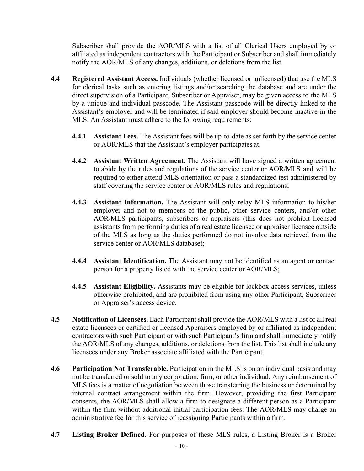Subscriber shall provide the AOR/MLS with a list of all Clerical Users employed by or affiliated as independent contractors with the Participant or Subscriber and shall immediately notify the AOR/MLS of any changes, additions, or deletions from the list.

- <span id="page-11-2"></span><span id="page-11-1"></span><span id="page-11-0"></span>**4.4 Registered Assistant Access.** Individuals (whether licensed or unlicensed) that use the MLS for clerical tasks such as entering listings and/or searching the database and are under the direct supervision of a Participant, Subscriber or Appraiser, may be given access to the MLS by a unique and individual passcode. The Assistant passcode will be directly linked to the Assistant's employer and will be terminated if said employer should become inactive in the MLS. An Assistant must adhere to the following requirements:
	- **4.4.1 Assistant Fees.** The Assistant fees will be up-to-date as set forth by the service center or AOR/MLS that the Assistant's employer participates at;
	- **4.4.2 Assistant Written Agreement.** The Assistant will have signed a written agreement to abide by the rules and regulations of the service center or AOR/MLS and will be required to either attend MLS orientation or pass a standardized test administered by staff covering the service center or AOR/MLS rules and regulations;
	- **4.4.3 Assistant Information.** The Assistant will only relay MLS information to his/her employer and not to members of the public, other service centers, and/or other AOR/MLS participants, subscribers or appraisers (this does not prohibit licensed assistants from performing duties of a real estate licensee or appraiser licensee outside of the MLS as long as the duties performed do not involve data retrieved from the service center or AOR/MLS database);
	- **4.4.4 Assistant Identification.** The Assistant may not be identified as an agent or contact person for a property listed with the service center or AOR/MLS;
	- **4.4.5 Assistant Eligibility.** Assistants may be eligible for lockbox access services, unless otherwise prohibited, and are prohibited from using any other Participant, Subscriber or Appraiser's access device.
- <span id="page-11-6"></span><span id="page-11-5"></span><span id="page-11-4"></span><span id="page-11-3"></span>**4.5 Notification of Licensees.** Each Participant shall provide the AOR/MLS with a list of all real estate licensees or certified or licensed Appraisers employed by or affiliated as independent contractors with such Participant or with such Participant's firm and shall immediately notify the AOR/MLS of any changes, additions, or deletions from the list. This list shall include any licensees under any Broker associate affiliated with the Participant.
- <span id="page-11-7"></span>**4.6 Participation Not Transferable.** Participation in the MLS is on an individual basis and may not be transferred or sold to any corporation, firm, or other individual. Any reimbursement of MLS fees is a matter of negotiation between those transferring the business or determined by internal contract arrangement within the firm. However, providing the first Participant consents, the AOR/MLS shall allow a firm to designate a different person as a Participant within the firm without additional initial participation fees. The AOR/MLS may charge an administrative fee for this service of reassigning Participants within a firm.
- <span id="page-11-8"></span>**4.7 Listing Broker Defined.** For purposes of these MLS rules, a Listing Broker is a Broker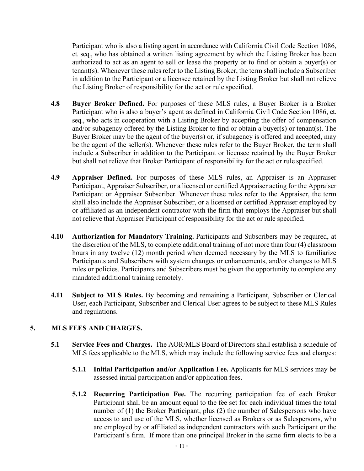Participant who is also a listing agent in accordance with California Civil Code Section 1086, et. seq., who has obtained a written listing agreement by which the Listing Broker has been authorized to act as an agent to sell or lease the property or to find or obtain a buyer(s) or tenant(s). Whenever these rules refer to the Listing Broker, the term shall include a Subscriber in addition to the Participant or a licensee retained by the Listing Broker but shall not relieve the Listing Broker of responsibility for the act or rule specified.

- <span id="page-12-0"></span>**4.8 Buyer Broker Defined.** For purposes of these MLS rules, a Buyer Broker is a Broker Participant who is also a buyer's agent as defined in California Civil Code Section 1086, et. seq., who acts in cooperation with a Listing Broker by accepting the offer of compensation and/or subagency offered by the Listing Broker to find or obtain a buyer(s) or tenant(s). The Buyer Broker may be the agent of the buyer(s) or, if subagency is offered and accepted, may be the agent of the seller(s). Whenever these rules refer to the Buyer Broker, the term shall include a Subscriber in addition to the Participant or licensee retained by the Buyer Broker but shall not relieve that Broker Participant of responsibility for the act or rule specified.
- <span id="page-12-1"></span>**4.9 Appraiser Defined.** For purposes of these MLS rules, an Appraiser is an Appraiser Participant, Appraiser Subscriber, or a licensed or certified Appraiser acting for the Appraiser Participant or Appraiser Subscriber. Whenever these rules refer to the Appraiser, the term shall also include the Appraiser Subscriber, or a licensed or certified Appraiser employed by or affiliated as an independent contractor with the firm that employs the Appraiser but shall not relieve that Appraiser Participant of responsibility for the act or rule specified.
- <span id="page-12-2"></span>**4.10 Authorization for Mandatory Training.** Participants and Subscribers may be required, at the discretion of the MLS, to complete additional training of not more than four (4) classroom hours in any twelve (12) month period when deemed necessary by the MLS to familiarize Participants and Subscribers with system changes or enhancements, and/or changes to MLS rules or policies. Participants and Subscribers must be given the opportunity to complete any mandated additional training remotely.
- <span id="page-12-3"></span>**4.11 Subject to MLS Rules.** By becoming and remaining a Participant, Subscriber or Clerical User, each Participant, Subscriber and Clerical User agrees to be subject to these MLS Rules and regulations.

#### <span id="page-12-5"></span><span id="page-12-4"></span>**5. MLS FEES AND CHARGES.**

- <span id="page-12-7"></span><span id="page-12-6"></span>**5.1 Service Fees and Charges.** The AOR/MLS Board of Directors shall establish a schedule of MLS fees applicable to the MLS, which may include the following service fees and charges:
	- **5.1.1 Initial Participation and/or Application Fee.** Applicants for MLS services may be assessed initial participation and/or application fees.
	- **5.1.2 Recurring Participation Fee.** The recurring participation fee of each Broker Participant shall be an amount equal to the fee set for each individual times the total number of (1) the Broker Participant, plus (2) the number of Salespersons who have access to and use of the MLS, whether licensed as Brokers or as Salespersons, who are employed by or affiliated as independent contractors with such Participant or the Participant's firm. If more than one principal Broker in the same firm elects to be a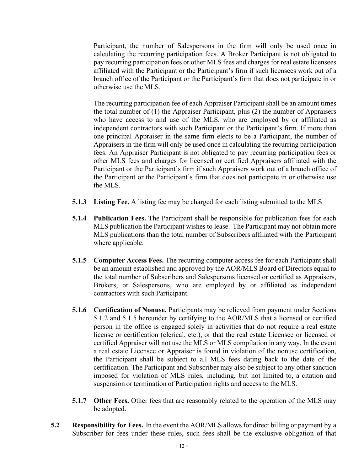Participant, the number of Salespersons in the firm will only be used once in calculating the recurring participation fees. A Broker Participant is not obligated to pay recurring participation fees or other MLS fees and charges for real estate licensees affiliated with the Participant or the Participant's firm if such licensees work out of a branch office of the Participant or the Participant's firm that does not participate in or otherwise use theMLS.

The recurring participation fee of each Appraiser Participant shall be an amount times the total number of (1) the Appraiser Participant, plus (2) the number of Appraisers who have access to and use of the MLS, who are employed by or affiliated as independent contractors with such Participant or the Participant's firm. If more than one principal Appraiser in the same firm elects to be a Participant, the number of Appraisers in the firm will only be used once in calculating the recurring participation fees. An Appraiser Participant is not obligated to pay recurring participation fees or other MLS fees and charges for licensed or certified Appraisers affiliated with the Participant or the Participant's firm if such Appraisers work out of a branch office of the Participant or the Participant's firm that does not participate in or otherwise use the MLS.

- <span id="page-13-0"></span>**5.1.3 Listing Fee.** A listing fee may be charged for each listing submitted to the MLS.
- <span id="page-13-1"></span>**5.1.4 Publication Fees.** The Participant shall be responsible for publication fees for each MLS publication the Participant wishes to lease. The Participant may not obtain more MLS publications than the total number of Subscribers affiliated with the Participant where applicable.
- <span id="page-13-2"></span>**5.1.5 Computer Access Fees.** The recurring computer access fee for each Participant shall be an amount established and approved by the AOR/MLS Board of Directors equal to the total number of Subscribers and Salespersons licensed or certified as Appraisers, Brokers, or Salespersons, who are employed by or affiliated as independent contractors with such Participant.
- <span id="page-13-3"></span>**5.1.6 Certification of Nonuse.** Participants may be relieved from payment under Sections 5.1.2 and 5.1.5 hereunder by certifying to the AOR/MLS that a licensed or certified person in the office is engaged solely in activities that do not require a real estate license or certification (clerical, etc.), or that the real estate Licensee or licensed or certified Appraiser will not use the MLS or MLS compilation in any way. In the event a real estate Licensee or Appraiser is found in violation of the nonuse certification, the Participant shall be subject to all MLS fees dating back to the date of the certification. The Participant and Subscriber may also be subject to any other sanction imposed for violation of MLS rules, including, but not limited to, a citation and suspension or termination of Participation rights and access to the MLS.
- **5.1.7** Other Fees. Other fees that are reasonably related to the operation of the MLS may be adopted.
- <span id="page-13-5"></span><span id="page-13-4"></span>**5.2 Responsibility for Fees.** In the event the AOR/MLS allows for direct billing or payment by a Subscriber for fees under these rules, such fees shall be the exclusive obligation of that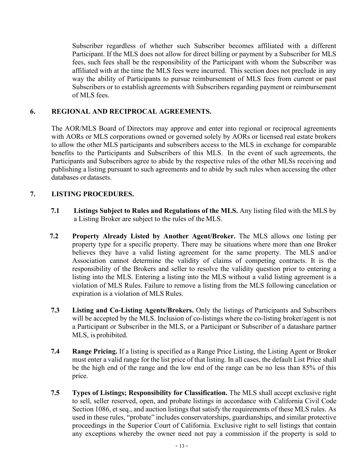Subscriber regardless of whether such Subscriber becomes affiliated with a different Participant. If the MLS does not allow for direct billing or payment by a Subscriber for MLS fees, such fees shall be the responsibility of the Participant with whom the Subscriber was affiliated with at the time the MLS fees were incurred. This section does not preclude in any way the ability of Participants to pursue reimbursement of MLS fees from current or past Subscribers or to establish agreements with Subscribers regarding payment or reimbursement of MLS fees.

#### <span id="page-14-0"></span>**6. REGIONAL AND RECIPROCAL AGREEMENTS.**

The AOR/MLS Board of Directors may approve and enter into regional or reciprocal agreements with AORs or MLS corporations owned or governed solely by AORs or licensed real estate brokers to allow the other MLS participants and subscribers access to the MLS in exchange for comparable benefits to the Participants and Subscribers of this MLS. In the event of such agreements, the Participants and Subscribers agree to abide by the respective rules of the other MLSs receiving and publishing a listing pursuant to such agreements and to abide by such rules when accessing the other databases or datasets.

#### <span id="page-14-2"></span><span id="page-14-1"></span>**7. LISTING PROCEDURES.**

- **7.1 Listings Subject to Rules and Regulations of the MLS.** Any listing filed with the MLS by a Listing Broker are subject to the rules of the MLS.
- <span id="page-14-3"></span>**7.2 Property Already Listed by Another Agent/Broker.** The MLS allows one listing per property type for a specific property. There may be situations where more than one Broker believes they have a valid listing agreement for the same property. The MLS and/or Association cannot determine the validity of claims of competing contracts. It is the responsibility of the Brokers and seller to resolve the validity question prior to entering a listing into the MLS. Entering a listing into the MLS without a valid listing agreement is a violation of MLS Rules. Failure to remove a listing from the MLS following cancelation or expiration is a violation of MLS Rules.
- <span id="page-14-4"></span>**7.3 Listing and Co-Listing Agents/Brokers.** Only the listings of Participants and Subscribers will be accepted by the MLS. Inclusion of co-listings where the co-listing broker/agent is not a Participant or Subscriber in the MLS, or a Participant or Subscriber of a datashare partner MLS, is prohibited.
- <span id="page-14-5"></span>**7.4 Range Pricing.** If a listing is specified as a Range Price Listing, the Listing Agent or Broker must enter a valid range for the list price of that listing. In all cases, the default List Price shall be the high end of the range and the low end of the range can be no less than 85% of this price.
- <span id="page-14-6"></span>**7.5 Types of Listings; Responsibility for Classification.** The MLS shall accept exclusive right to sell, seller reserved, open, and probate listings in accordance with California Civil Code Section 1086, et seq., and auction listings that satisfy the requirements of these MLS rules. As used in these rules, "probate" includes conservatorships, guardianships, and similar protective proceedings in the Superior Court of California. Exclusive right to sell listings that contain any exceptions whereby the owner need not pay a commission if the property is sold to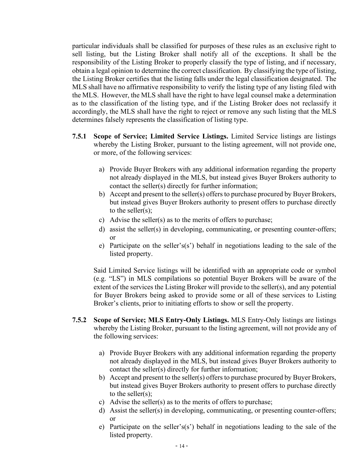particular individuals shall be classified for purposes of these rules as an exclusive right to sell listing, but the Listing Broker shall notify all of the exceptions. It shall be the responsibility of the Listing Broker to properly classify the type of listing, and if necessary, obtain a legal opinion to determine the correct classification. By classifying the type of listing, the Listing Broker certifies that the listing falls under the legal classification designated. The MLS shall have no affirmative responsibility to verify the listing type of any listing filed with the MLS. However, the MLS shall have the right to have legal counsel make a determination as to the classification of the listing type, and if the Listing Broker does not reclassify it accordingly, the MLS shall have the right to reject or remove any such listing that the MLS determines falsely represents the classification of listing type.

- <span id="page-15-0"></span>**7.5.1 Scope of Service; Limited Service Listings.** Limited Service listings are listings whereby the Listing Broker, pursuant to the listing agreement, will not provide one, or more, of the following services:
	- a) Provide Buyer Brokers with any additional information regarding the property not already displayed in the MLS, but instead gives Buyer Brokers authority to contact the seller(s) directly for further information;
	- b) Accept and present to the seller(s) offers to purchase procured by Buyer Brokers, but instead gives Buyer Brokers authority to present offers to purchase directly to the seller(s);
	- c) Advise the seller(s) as to the merits of offers to purchase;
	- d) assist the seller(s) in developing, communicating, or presenting counter-offers; or
	- e) Participate on the seller's(s') behalf in negotiations leading to the sale of the listed property.

Said Limited Service listings will be identified with an appropriate code or symbol (e.g. "LS") in MLS compilations so potential Buyer Brokers will be aware of the extent of the services the Listing Broker will provide to the seller(s), and any potential for Buyer Brokers being asked to provide some or all of these services to Listing Broker's clients, prior to initiating efforts to show or sell the property.

- <span id="page-15-1"></span>**7.5.2 Scope of Service; MLS Entry-Only Listings.** MLS Entry-Only listings are listings whereby the Listing Broker, pursuant to the listing agreement, will not provide any of the following services:
	- a) Provide Buyer Brokers with any additional information regarding the property not already displayed in the MLS, but instead gives Buyer Brokers authority to contact the seller(s) directly for further information;
	- b) Accept and present to the seller(s) offers to purchase procured by Buyer Brokers, but instead gives Buyer Brokers authority to present offers to purchase directly to the seller(s);
	- c) Advise the seller(s) as to the merits of offers to purchase;
	- d) Assist the seller(s) in developing, communicating, or presenting counter-offers; or
	- e) Participate on the seller's(s') behalf in negotiations leading to the sale of the listed property.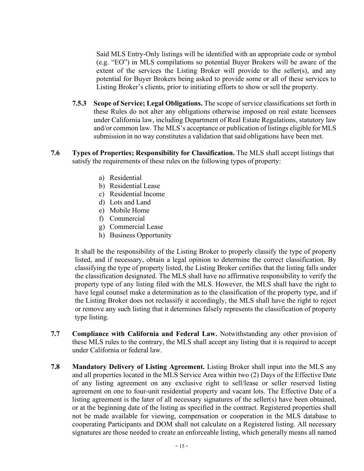Said MLS Entry-Only listings will be identified with an appropriate code or symbol (e.g. "EO") in MLS compilations so potential Buyer Brokers will be aware of the extent of the services the Listing Broker will provide to the seller(s), and any potential for Buyer Brokers being asked to provide some or all of these services to Listing Broker's clients, prior to initiating efforts to show or sell the property.

- <span id="page-16-0"></span>**7.5.3 Scope of Service; Legal Obligations.** The scope of service classifications set forth in these Rules do not alter any obligations otherwise imposed on real estate licensees under California law, including Department of Real Estate Regulations, statutory law and/or common law. The MLS's acceptance or publication of listings eligible for MLS submission in no way constitutes a validation that said obligations have been met.
- <span id="page-16-1"></span>**7.6 Types of Properties; Responsibility for Classification.** The MLS shall accept listings that satisfy the requirements of these rules on the following types of property:
	- a) Residential
	- b) Residential Lease
	- c) Residential Income
	- d) Lots and Land
	- e) Mobile Home
	- f) Commercial
	- g) Commercial Lease
	- h) Business Opportunity

It shall be the responsibility of the Listing Broker to properly classify the type of property listed, and if necessary, obtain a legal opinion to determine the correct classification. By classifying the type of property listed, the Listing Broker certifies that the listing falls under the classification designated. The MLS shall have no affirmative responsibility to verify the property type of any listing filed with the MLS. However, the MLS shall have the right to have legal counsel make a determination as to the classification of the property type, and if the Listing Broker does not reclassify it accordingly, the MLS shall have the right to reject or remove any such listing that it determines falsely represents the classification of property type listing.

- <span id="page-16-2"></span>**7.7 Compliance with California and Federal Law.** Notwithstanding any other provision of these MLS rules to the contrary, the MLS shall accept any listing that it is required to accept under California or federal law.
- <span id="page-16-3"></span>**7.8 Mandatory Delivery of Listing Agreement.** Listing Broker shall input into the MLS any and all properties located in the MLS Service Area within two (2) Days of the Effective Date of any listing agreement on any exclusive right to sell/lease or seller reserved listing agreement on one to four-unit residential property and vacant lots. The Effective Date of a listing agreement is the later of all necessary signatures of the seller(s) have been obtained, or at the beginning date of the listing as specified in the contract. Registered properties shall not be made available for viewing, compensation or cooperation in the MLS database to cooperating Participants and DOM shall not calculate on a Registered listing. All necessary signatures are those needed to create an enforceable listing, which generally means all named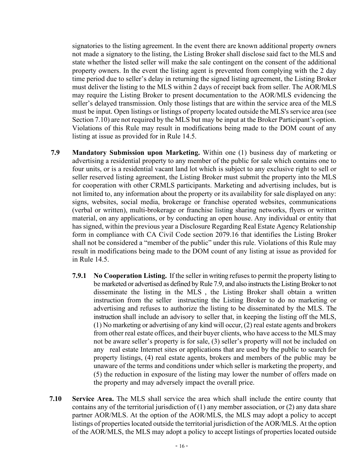signatories to the listing agreement. In the event there are known additional property owners not made a signatory to the listing, the Listing Broker shall disclose said fact to the MLS and state whether the listed seller will make the sale contingent on the consent of the additional property owners. In the event the listing agent is prevented from complying with the 2 day time period due to seller's delay in returning the signed listing agreement, the Listing Broker must deliver the listing to the MLS within 2 days of receipt back from seller. The AOR/MLS may require the Listing Broker to present documentation to the AOR/MLS evidencing the seller's delayed transmission. Only those listings that are within the service area of the MLS must be input. Open listings or listings of property located outside the MLS's service area (see Section 7.10) are not required by the MLS but may be input at the Broker Participant's option. Violations of this Rule may result in modifications being made to the DOM count of any listing at issue as provided for in Rule 14.5.

- <span id="page-17-1"></span><span id="page-17-0"></span>**7.9 Mandatory Submission upon Marketing.** Within one (1) business day of marketing or advertising a residential property to any member of the public for sale which contains one to four units, or is a residential vacant land lot which is subject to any exclusive right to sell or seller reserved listing agreement, the Listing Broker must submit the property into the MLS for cooperation with other CRMLS participants. Marketing and advertising includes, but is not limited to, any information about the property or its availability for sale displayed on any: signs, websites, social media, brokerage or franchise operated websites, communications (verbal or written), multi-brokerage or franchise listing sharing networks, flyers or written material, on any applications, or by conducting an open house. Any individual or entity that has signed, within the previous year a Disclosure Regarding Real Estate Agency Relationship form in compliance with CA Civil Code section 2079.16 that identifies the Listing Broker shall not be considered a "member of the public" under this rule. Violations of this Rule may result in modifications being made to the DOM count of any listing at issue as provided for in Rule 14.5.
	- **7.9.1 No Cooperation Listing.** If the seller in writing refusesto permit the property listing to be marketed or advertised as defined by Rule 7.9, and also instructs the Listing Broker to not disseminate the listing in the MLS , the Listing Broker shall obtain a written instruction from the seller instructing the Listing Broker to do no marketing or advertising and refuses to authorize the listing to be disseminated by the MLS. The instruction shall include an advisory to seller that, in keeping the listing off the MLS, (1) No marketing or advertising of any kind will occur, (2) real estate agents and brokers from other real estate offices, and their buyer clients, who have access to the MLS may not be aware seller's property is for sale, (3) seller's property will not be included on any real estate Internet sites or applications that are used by the public to search for property listings, (4) real estate agents, brokers and members of the public may be unaware of the terms and conditions under which seller is marketing the property, and (5) the reduction in exposure of the listing may lower the number of offers made on the property and may adversely impact the overall price.
- <span id="page-17-2"></span>**7.10 Service Area.** The MLS shall service the area which shall include the entire county that contains any of the territorial jurisdiction of  $(1)$  any member association, or  $(2)$  any data share partner AOR/MLS. At the option of the AOR/MLS, the MLS may adopt a policy to accept listings of properties located outside the territorial jurisdiction of the AOR/MLS. At the option of the AOR/MLS, the MLS may adopt a policy to accept listings of properties located outside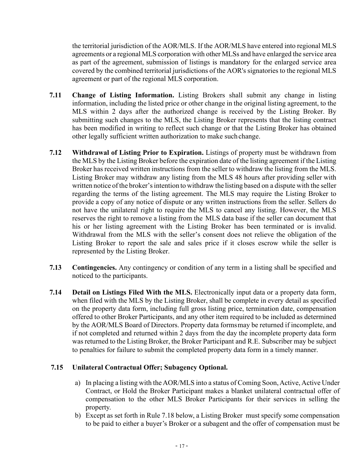the territorial jurisdiction of the AOR/MLS. If the AOR/MLS have entered into regional MLS agreements or a regional MLS corporation with other MLSs and have enlarged the service area as part of the agreement, submission of listings is mandatory for the enlarged service area covered by the combined territorial jurisdictions of the AOR's signatories to the regional MLS agreement or part of the regional MLS corporation.

- <span id="page-18-0"></span>**7.11 Change of Listing Information.** Listing Brokers shall submit any change in listing information, including the listed price or other change in the original listing agreement, to the MLS within 2 days after the authorized change is received by the Listing Broker. By submitting such changes to the MLS, the Listing Broker represents that the listing contract has been modified in writing to reflect such change or that the Listing Broker has obtained other legally sufficient written authorization to make such change.
- <span id="page-18-1"></span>**7.12 Withdrawal of Listing Prior to Expiration.** Listings of property must be withdrawn from the MLS by the Listing Broker before the expiration date of the listing agreement if the Listing Broker has received written instructions from the seller to withdraw the listing from the MLS. Listing Broker may withdraw any listing from the MLS 48 hours after providing seller with written notice of the broker's intention to withdraw the listing based on a dispute with the seller regarding the terms of the listing agreement. The MLS may require the Listing Broker to provide a copy of any notice of dispute or any written instructions from the seller. Sellers do not have the unilateral right to require the MLS to cancel any listing. However, the MLS reserves the right to remove a listing from the MLS data base if the seller can document that his or her listing agreement with the Listing Broker has been terminated or is invalid. Withdrawal from the MLS with the seller's consent does not relieve the obligation of the Listing Broker to report the sale and sales price if it closes escrow while the seller is represented by the Listing Broker.
- <span id="page-18-2"></span>**7.13 Contingencies.** Any contingency or condition of any term in a listing shall be specified and noticed to the participants.
- <span id="page-18-3"></span>**7.14 Detail on Listings Filed With the MLS.** Electronically input data or a property data form, when filed with the MLS by the Listing Broker, shall be complete in every detail as specified on the property data form, including full gross listing price, termination date, compensation offered to other Broker Participants, and any other item required to be included as determined by the AOR/MLS Board of Directors. Property data formsmay be returned if incomplete, and if not completed and returned within 2 days from the day the incomplete property data form was returned to the Listing Broker, the Broker Participant and R.E. Subscriber may be subject to penalties for failure to submit the completed property data form in a timely manner.

#### <span id="page-18-4"></span>**7.15 Unilateral Contractual Offer; Subagency Optional.**

- a) In placing a listing with the AOR/MLS into a status of Coming Soon, Active, Active Under Contract, or Hold the Broker Participant makes a blanket unilateral contractual offer of compensation to the other MLS Broker Participants for their services in selling the property.
- b) Except as set forth in Rule 7.18 below, a Listing Broker must specify some compensation to be paid to either a buyer's Broker or a subagent and the offer of compensation must be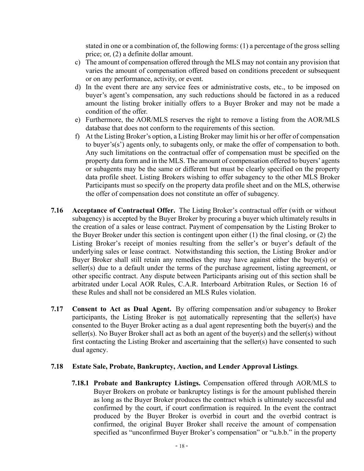stated in one or a combination of, the following forms: (1) a percentage of the gross selling price; or, (2) a definite dollar amount.

- c) The amount of compensation offered through the MLS may not contain any provision that varies the amount of compensation offered based on conditions precedent or subsequent or on any performance, activity, or event.
- d) In the event there are any service fees or administrative costs, etc., to be imposed on buyer's agent's compensation, any such reductions should be factored in as a reduced amount the listing broker initially offers to a Buyer Broker and may not be made a condition of the offer.
- e) Furthermore, the AOR/MLS reserves the right to remove a listing from the AOR/MLS database that does not conform to the requirements of this section.
- f) At the Listing Broker's option, a Listing Broker may limit his or her offer of compensation to buyer's(s') agents only, to subagents only, or make the offer of compensation to both. Any such limitations on the contractual offer of compensation must be specified on the property data form and in the MLS. The amount of compensation offered to buyers' agents or subagents may be the same or different but must be clearly specified on the property data profile sheet. Listing Brokers wishing to offer subagency to the other MLS Broker Participants must so specify on the property data profile sheet and on the MLS, otherwise the offer of compensation does not constitute an offer of subagency.
- <span id="page-19-0"></span>**7.16 Acceptance of Contractual Offer.** The Listing Broker's contractual offer (with or without subagency) is accepted by the Buyer Broker by procuring a buyer which ultimately results in the creation of a sales or lease contract. Payment of compensation by the Listing Broker to the Buyer Broker under this section is contingent upon either (1) the final closing, or (2) the Listing Broker's receipt of monies resulting from the seller's or buyer's default of the underlying sales or lease contract. Notwithstanding this section, the Listing Broker and/or Buyer Broker shall still retain any remedies they may have against either the buyer(s) or seller(s) due to a default under the terms of the purchase agreement, listing agreement, or other specific contract. Any dispute between Participants arising out of this section shall be arbitrated under Local AOR Rules, C.A.R. Interboard Arbitration Rules, or Section 16 of these Rules and shall not be considered an MLS Rules violation.
- <span id="page-19-1"></span>**7.17 Consent to Act as Dual Agent.** By offering compensation and/or subagency to Broker participants, the Listing Broker is not automatically representing that the seller(s) have consented to the Buyer Broker acting as a dual agent representing both the buyer(s) and the seller(s). No Buyer Broker shall act as both an agent of the buyer(s) and the seller(s) without first contacting the Listing Broker and ascertaining that the seller(s) have consented to such dual agency.

#### <span id="page-19-3"></span><span id="page-19-2"></span>**7.18 Estate Sale, Probate, Bankruptcy, Auction, and Lender Approval Listings**.

**7.18.1 Probate and Bankruptcy Listings.** Compensation offered through AOR/MLS to Buyer Brokers on probate or bankruptcy listings is for the amount published therein as long as the Buyer Broker produces the contract which is ultimately successful and confirmed by the court, if court confirmation is required. In the event the contract produced by the Buyer Broker is overbid in court and the overbid contract is confirmed, the original Buyer Broker shall receive the amount of compensation specified as "unconfirmed Buyer Broker's compensation" or "u.b.b." in the property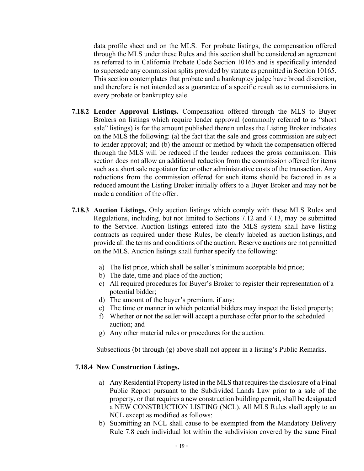data profile sheet and on the MLS. For probate listings, the compensation offered through the MLS under these Rules and this section shall be considered an agreement as referred to in California Probate Code Section 10165 and is specifically intended to supersede any commission splits provided by statute as permitted in Section 10165. This section contemplates that probate and a bankruptcy judge have broad discretion, and therefore is not intended as a guarantee of a specific result as to commissions in every probate or bankruptcy sale.

- <span id="page-20-0"></span>**7.18.2 Lender Approval Listings.** Compensation offered through the MLS to Buyer Brokers on listings which require lender approval (commonly referred to as "short sale" listings) is for the amount published therein unless the Listing Broker indicates on the MLS the following: (a) the fact that the sale and gross commission are subject to lender approval; and (b) the amount or method by which the compensation offered through the MLS will be reduced if the lender reduces the gross commission. This section does not allow an additional reduction from the commission offered for items such as a short sale negotiator fee or other administrative costs of the transaction. Any reductions from the commission offered for such items should be factored in as a reduced amount the Listing Broker initially offers to a Buyer Broker and may not be made a condition of the offer.
- <span id="page-20-1"></span>**7.18.3 Auction Listings.** Only auction listings which comply with these MLS Rules and Regulations, including, but not limited to Sections 7.12 and 7.13, may be submitted to the Service. Auction listings entered into the MLS system shall have listing contracts as required under these Rules, be clearly labeled as auction listings, and provide all the terms and conditions of the auction. Reserve auctions are not permitted on the MLS. Auction listings shall further specify the following:
	- a) The list price, which shall be seller's minimum acceptable bid price;
	- b) The date, time and place of the auction;
	- c) All required procedures for Buyer's Broker to register their representation of a potential bidder;
	- d) The amount of the buyer's premium, if any;
	- e) The time or manner in which potential bidders may inspect the listed property;
	- f) Whether or not the seller will accept a purchase offer prior to the scheduled auction; and
	- g) Any other material rules or procedures for the auction.

Subsections (b) through (g) above shall not appear in a listing's Public Remarks.

#### <span id="page-20-2"></span>**7.18.4 New Construction Listings.**

- a) Any Residential Property listed in the MLS that requires the disclosure of a Final Public Report pursuant to the Subdivided Lands Law prior to a sale of the property, or that requires a new construction building permit, shall be designated a NEW CONSTRUCTION LISTING (NCL). All MLS Rules shall apply to an NCL except as modified as follows:
- b) Submitting an NCL shall cause to be exempted from the Mandatory Delivery Rule 7.8 each individual lot within the subdivision covered by the same Final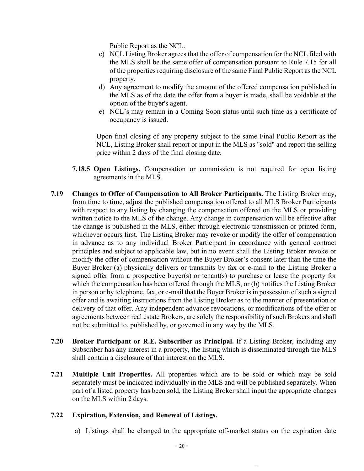Public Report as the NCL.

- c) NCL Listing Broker agrees that the offer of compensation for the NCL filed with the MLS shall be the same offer of compensation pursuant to Rule 7.15 for all of the properties requiring disclosure of the same Final Public Report as the NCL property.
- d) Any agreement to modify the amount of the offered compensation published in the MLS as of the date the offer from a buyer is made, shall be voidable at the option of the buyer's agent.
- e) NCL's may remain in a Coming Soon status until such time as a certificate of occupancy is issued.

Upon final closing of any property subject to the same Final Public Report as the NCL, Listing Broker shall report or input in the MLS as "sold" and report the selling price within 2 days of the final closing date.

- **7.18.5 Open Listings.** Compensation or commission is not required for open listing agreements in the MLS.
- <span id="page-21-1"></span><span id="page-21-0"></span>**7.19 Changes to Offer of Compensation to All Broker Participants.** The Listing Broker may, from time to time, adjust the published compensation offered to all MLS Broker Participants with respect to any listing by changing the compensation offered on the MLS or providing written notice to the MLS of the change. Any change in compensation will be effective after the change is published in the MLS, either through electronic transmission or printed form, whichever occurs first. The Listing Broker may revoke or modify the offer of compensation in advance as to any individual Broker Participant in accordance with general contract principles and subject to applicable law, but in no event shall the Listing Broker revoke or modify the offer of compensation without the Buyer Broker's consent later than the time the Buyer Broker (a) physically delivers or transmits by fax or e-mail to the Listing Broker a signed offer from a prospective buyer(s) or tenant(s) to purchase or lease the property for which the compensation has been offered through the MLS, or (b) notifies the Listing Broker in person or by telephone, fax, or e-mail that the Buyer Broker is in possession of such a signed offer and is awaiting instructions from the Listing Broker as to the manner of presentation or delivery of that offer. Any independent advance revocations, or modifications of the offer or agreements between real estate Brokers, are solely the responsibility of such Brokers and shall not be submitted to, published by, or governed in any way by the MLS.
- <span id="page-21-2"></span>**7.20 Broker Participant or R.E. Subscriber as Principal.** If a Listing Broker, including any Subscriber has any interest in a property, the listing which is disseminated through the MLS shall contain a disclosure of that interest on the MLS.
- <span id="page-21-3"></span>**7.21 Multiple Unit Properties.** All properties which are to be sold or which may be sold separately must be indicated individually in the MLS and will be published separately. When part of a listed property has been sold, the Listing Broker shall input the appropriate changes on the MLS within 2 days.

#### **7.22 Expiration, Extension, and Renewal of Listings.**

<span id="page-21-4"></span>a) Listings shall be changed to the appropriate off-market status on the expiration date

÷,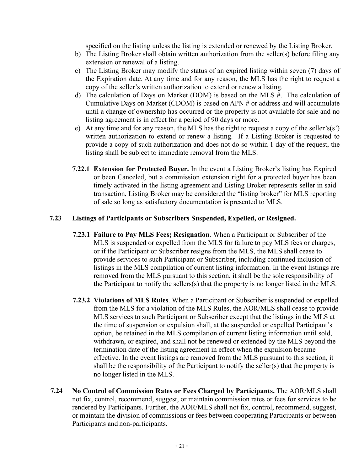specified on the listing unless the listing is extended or renewed by the Listing Broker.

- b) The Listing Broker shall obtain written authorization from the seller(s) before filing any extension or renewal of a listing.
- c) The Listing Broker may modify the status of an expired listing within seven (7) days of the Expiration date. At any time and for any reason, the MLS has the right to request a copy of the seller's written authorization to extend or renew a listing.
- d) The calculation of Days on Market (DOM) is based on the MLS #. The calculation of Cumulative Days on Market (CDOM) is based on APN # or address and will accumulate until a change of ownership has occurred or the property is not available for sale and no listing agreement is in effect for a period of 90 days or more.
- e) At any time and for any reason, the MLS has the right to request a copy of the seller's(s') written authorization to extend or renew a listing. If a Listing Broker is requested to provide a copy of such authorization and does not do so within 1 day of the request, the listing shall be subject to immediate removal from the MLS.
- <span id="page-22-0"></span>**7.22.1 Extension for Protected Buyer.** In the event a Listing Broker's listing has Expired or been Canceled, but a commission extension right for a protected buyer has been timely activated in the listing agreement and Listing Broker represents seller in said transaction, Listing Broker may be considered the "listing broker" for MLS reporting of sale so long as satisfactory documentation is presented to MLS.

#### <span id="page-22-2"></span>**7.23 Listings of Participants or Subscribers Suspended, Expelled, or Resigned.**

- <span id="page-22-1"></span>**7.23.1 Failure to Pay MLS Fees; Resignation**. When a Participant or Subscriber of the MLS is suspended or expelled from the MLS for failure to pay MLS fees or charges, or if the Participant or Subscriber resigns from the MLS, the MLS shall cease to provide services to such Participant or Subscriber, including continued inclusion of listings in the MLS compilation of current listing information. In the event listings are removed from the MLS pursuant to this section, it shall be the sole responsibility of the Participant to notify the sellers(s) that the property is no longer listed in the MLS.
- <span id="page-22-3"></span>**7.23.2 Violations of MLS Rules**. When a Participant or Subscriber is suspended or expelled from the MLS for a violation of the MLS Rules, the AOR/MLS shall cease to provide MLS services to such Participant or Subscriber except that the listings in the MLS at the time of suspension or expulsion shall, at the suspended or expelled Participant's option, be retained in the MLS compilation of current listing information until sold, withdrawn, or expired, and shall not be renewed or extended by the MLS beyond the termination date of the listing agreement in effect when the expulsion became effective. In the event listings are removed from the MLS pursuant to this section, it shall be the responsibility of the Participant to notify the seller(s) that the property is no longer listed in the MLS.
- <span id="page-22-4"></span>**7.24 No Control of Commission Rates or Fees Charged by Participants.** The AOR/MLS shall not fix, control, recommend, suggest, or maintain commission rates or fees for services to be rendered by Participants. Further, the AOR/MLS shall not fix, control, recommend, suggest, or maintain the division of commissions or fees between cooperating Participants or between Participants and non-participants.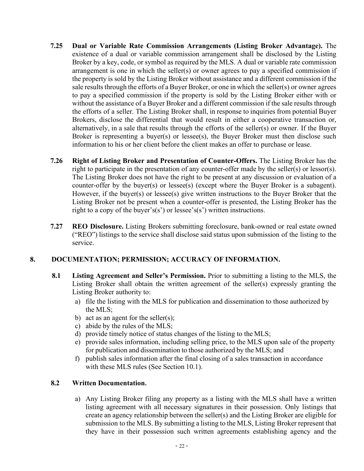- <span id="page-23-0"></span>**7.25 Dual or Variable Rate Commission Arrangements (Listing Broker Advantage).** The existence of a dual or variable commission arrangement shall be disclosed by the Listing Broker by a key, code, or symbol as required by the MLS. A dual or variable rate commission arrangement is one in which the seller(s) or owner agrees to pay a specified commission if the property is sold by the Listing Broker without assistance and a different commission if the sale results through the efforts of a Buyer Broker, or one in which the seller(s) or owner agrees to pay a specified commission if the property is sold by the Listing Broker either with or without the assistance of a Buyer Broker and a different commission if the sale results through the efforts of a seller. The Listing Broker shall, in response to inquiries from potential Buyer Brokers, disclose the differential that would result in either a cooperative transaction or, alternatively, in a sale that results through the efforts of the seller(s) or owner. If the Buyer Broker is representing a buyer(s) or lessee(s), the Buyer Broker must then disclose such information to his or her client before the client makes an offer to purchase or lease.
- <span id="page-23-1"></span>**7.26 Right of Listing Broker and Presentation of Counter-Offers.** The Listing Broker has the right to participate in the presentation of any counter-offer made by the seller(s) or lessor(s). The Listing Broker does not have the right to be present at any discussion or evaluation of a counter-offer by the buyer(s) or lessee(s) (except where the Buyer Broker is a subagent). However, if the buyer(s) or lessee(s) give written instructions to the Buyer Broker that the Listing Broker not be present when a counter-offer is presented, the Listing Broker has the right to a copy of the buyer's(s') or lessee's(s') written instructions.
- <span id="page-23-2"></span>**7.27 REO Disclosure.** Listing Brokers submitting foreclosure, bank-owned or real estate owned ("REO") listings to the service shall disclose said status upon submission of the listing to the service.

#### <span id="page-23-4"></span><span id="page-23-3"></span>**8. DOCUMENTATION; PERMISSION; ACCURACY OF INFORMATION.**

- **8.1 Listing Agreement and Seller's Permission.** Prior to submitting a listing to the MLS, the Listing Broker shall obtain the written agreement of the seller(s) expressly granting the Listing Broker authority to:
	- a) file the listing with the MLS for publication and dissemination to those authorized by the MLS;
	- b) act as an agent for the seller(s);
	- c) abide by the rules of the MLS;
	- d) provide timely notice of status changes of the listing to the MLS;
	- e) provide sales information, including selling price, to the MLS upon sale of the property for publication and dissemination to those authorized by the MLS; and
	- f) publish sales information after the final closing of a sales transaction in accordance with these MLS rules (See Section 10.1).

#### <span id="page-23-5"></span>**8.2 Written Documentation.**

a) Any Listing Broker filing any property as a listing with the MLS shall have a written listing agreement with all necessary signatures in their possession. Only listings that create an agency relationship between the seller(s) and the Listing Broker are eligible for submission to the MLS. By submitting a listing to the MLS, Listing Broker represent that they have in their possession such written agreements establishing agency and the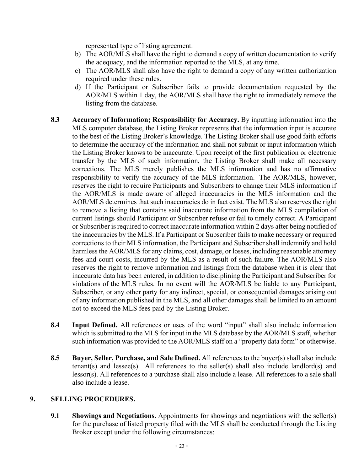represented type of listing agreement.

- b) The AOR/MLS shall have the right to demand a copy of written documentation to verify the adequacy, and the information reported to the MLS, at any time.
- c) The AOR/MLS shall also have the right to demand a copy of any written authorization required under these rules.
- d) If the Participant or Subscriber fails to provide documentation requested by the AOR/MLS within 1 day, the AOR/MLS shall have the right to immediately remove the listing from the database.
- <span id="page-24-0"></span>**8.3 Accuracy of Information; Responsibility for Accuracy.** By inputting information into the MLS computer database, the Listing Broker represents that the information input is accurate to the best of the Listing Broker's knowledge. The Listing Broker shall use good faith efforts to determine the accuracy of the information and shall not submit or input information which the Listing Broker knows to be inaccurate. Upon receipt of the first publication or electronic transfer by the MLS of such information, the Listing Broker shall make all necessary corrections. The MLS merely publishes the MLS information and has no affirmative responsibility to verify the accuracy of the MLS information. The AOR/MLS, however, reserves the right to require Participants and Subscribers to change their MLS information if the AOR/MLS is made aware of alleged inaccuracies in the MLS information and the AOR/MLS determines that such inaccuracies do in fact exist. The MLS also reserves the right to remove a listing that contains said inaccurate information from the MLS compilation of current listings should Participant or Subscriber refuse or fail to timely correct. A Participant or Subscriber is required to correct inaccurate information within 2 days after being notified of the inaccuracies by the MLS. If a Participant or Subscriber fails to make necessary or required corrections to their MLS information, the Participant and Subscriber shall indemnify and hold harmless the AOR/MLS for any claims, cost, damage, or losses, including reasonable attorney fees and court costs, incurred by the MLS as a result of such failure. The AOR/MLS also reserves the right to remove information and listings from the database when it is clear that inaccurate data has been entered, in addition to disciplining the Participant and Subscriber for violations of the MLS rules. In no event will the AOR/MLS be liable to any Participant, Subscriber, or any other party for any indirect, special, or consequential damages arising out of any information published in the MLS, and all other damages shall be limited to an amount not to exceed the MLS fees paid by the Listing Broker.
- <span id="page-24-1"></span>**8.4 Input Defined.** All references or uses of the word "input" shall also include information which is submitted to the MLS for input in the MLS database by the AOR/MLS staff, whether such information was provided to the AOR/MLS staff on a "property data form" or otherwise.
- <span id="page-24-2"></span>**8.5 Buyer, Seller, Purchase, and Sale Defined.** All references to the buyer(s) shall also include tenant(s) and lessee(s). All references to the seller(s) shall also include landlord(s) and lessor(s). All references to a purchase shall also include a lease. All references to a sale shall also include a lease.

#### <span id="page-24-4"></span><span id="page-24-3"></span>**9. SELLING PROCEDURES.**

**9.1 Showings and Negotiations.** Appointments for showings and negotiations with the seller(s) for the purchase of listed property filed with the MLS shall be conducted through the Listing Broker except under the following circumstances: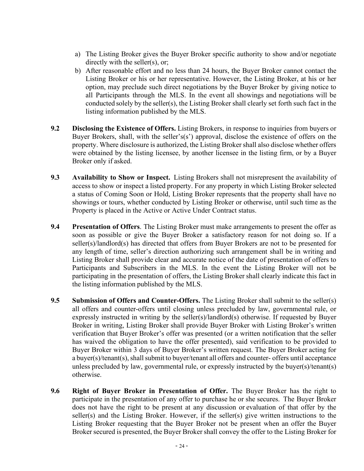- a) The Listing Broker gives the Buyer Broker specific authority to show and/or negotiate directly with the seller(s), or;
- b) After reasonable effort and no less than 24 hours, the Buyer Broker cannot contact the Listing Broker or his or her representative. However, the Listing Broker, at his or her option, may preclude such direct negotiations by the Buyer Broker by giving notice to all Participants through the MLS. In the event all showings and negotiations will be conducted solely by the seller(s), the Listing Broker shall clearly set forth such fact in the listing information published by the MLS.
- <span id="page-25-0"></span>**9.2 Disclosing the Existence of Offers.** Listing Brokers, in response to inquiries from buyers or Buyer Brokers, shall, with the seller's(s') approval, disclose the existence of offers on the property. Where disclosure is authorized, the Listing Broker shall also disclose whether offers were obtained by the listing licensee, by another licensee in the listing firm, or by a Buyer Broker only if asked.
- <span id="page-25-1"></span>**9.3 Availability to Show or Inspect.** Listing Brokers shall not misrepresent the availability of access to show or inspect a listed property. For any property in which Listing Broker selected a status of Coming Soon or Hold, Listing Broker represents that the property shall have no showings or tours, whether conducted by Listing Broker or otherwise, until such time as the Property is placed in the Active or Active Under Contract status.
- <span id="page-25-2"></span>**9.4 Presentation of Offers**. The Listing Broker must make arrangements to present the offer as soon as possible or give the Buyer Broker a satisfactory reason for not doing so. If a seller(s)/landlord(s) has directed that offers from Buyer Brokers are not to be presented for any length of time, seller's direction authorizing such arrangement shall be in writing and Listing Broker shall provide clear and accurate notice of the date of presentation of offers to Participants and Subscribers in the MLS. In the event the Listing Broker will not be participating in the presentation of offers, the Listing Broker shall clearly indicate this fact in the listing information published by the MLS.
- <span id="page-25-3"></span>**9.5 Submission of Offers and Counter-Offers.** The Listing Broker shall submit to the seller(s) all offers and counter-offers until closing unless precluded by law, governmental rule, or expressly instructed in writing by the seller(s)/landlord(s) otherwise. If requested by Buyer Broker in writing, Listing Broker shall provide Buyer Broker with Listing Broker's written verification that Buyer Broker's offer was presented (or a written notification that the seller has waived the obligation to have the offer presented), said verification to be provided to Buyer Broker within 3 days of Buyer Broker's written request. The Buyer Broker acting for a buyer(s)/tenant(s), shall submit to buyer/tenant all offers and counter- offers until acceptance unless precluded by law, governmental rule, or expressly instructed by the buyer(s)/tenant(s) otherwise.
- <span id="page-25-4"></span>**9.6 Right of Buyer Broker in Presentation of Offer.** The Buyer Broker has the right to participate in the presentation of any offer to purchase he or she secures. The Buyer Broker does not have the right to be present at any discussion or evaluation of that offer by the seller(s) and the Listing Broker. However, if the seller(s) give written instructions to the Listing Broker requesting that the Buyer Broker not be present when an offer the Buyer Broker secured is presented, the Buyer Broker shall convey the offer to the Listing Broker for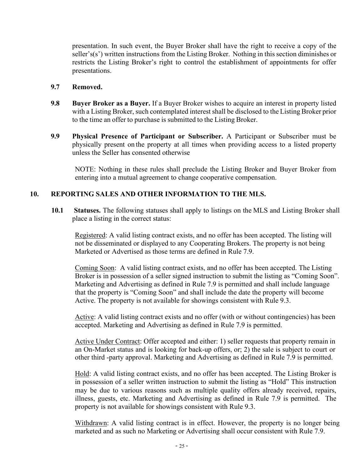presentation. In such event, the Buyer Broker shall have the right to receive a copy of the seller's(s') written instructions from the Listing Broker. Nothing in this section diminishes or restricts the Listing Broker's right to control the establishment of appointments for offer presentations.

#### <span id="page-26-0"></span>**9.7 Removed.**

- <span id="page-26-1"></span>**9.8 Buyer Broker as a Buyer.** If a Buyer Broker wishes to acquire an interest in property listed with a Listing Broker, such contemplated interest shall be disclosed to the Listing Broker prior to the time an offer to purchase is submitted to the Listing Broker.
- <span id="page-26-2"></span>**9.9 Physical Presence of Participant or Subscriber.** A Participant or Subscriber must be physically present on the property at all times when providing access to a listed property unless the Seller has consented otherwise

NOTE: Nothing in these rules shall preclude the Listing Broker and Buyer Broker from entering into a mutual agreement to change cooperative compensation.

#### <span id="page-26-3"></span>**10. REPORTING SALES AND OTHER INFORMATION TO THE MLS.**

<span id="page-26-4"></span>**10.1 Statuses.** The following statuses shall apply to listings on the MLS and Listing Broker shall place a listing in the correct status:

Registered: A valid listing contract exists, and no offer has been accepted. The listing will not be disseminated or displayed to any Cooperating Brokers. The property is not being Marketed or Advertised as those terms are defined in Rule 7.9.

Coming Soon: A valid listing contract exists, and no offer has been accepted. The Listing Broker is in possession of a seller signed instruction to submit the listing as "Coming Soon". Marketing and Advertising as defined in Rule 7.9 is permitted and shall include language that the property is "Coming Soon" and shall include the date the property will become Active. The property is not available for showings consistent with Rule 9.3.

Active: A valid listing contract exists and no offer (with or without contingencies) has been accepted. Marketing and Advertising as defined in Rule 7.9 is permitted.

Active Under Contract: Offer accepted and either: 1) seller requests that property remain in an On-Market status and is looking for back-up offers, or; 2) the sale is subject to court or other third -party approval. Marketing and Advertising as defined in Rule 7.9 is permitted.

Hold: A valid listing contract exists, and no offer has been accepted. The Listing Broker is in possession of a seller written instruction to submit the listing as "Hold" This instruction may be due to various reasons such as multiple quality offers already received, repairs, illness, guests, etc. Marketing and Advertising as defined in Rule 7.9 is permitted. The property is not available for showings consistent with Rule 9.3.

Withdrawn: A valid listing contract is in effect. However, the property is no longer being marketed and as such no Marketing or Advertising shall occur consistent with Rule 7.9.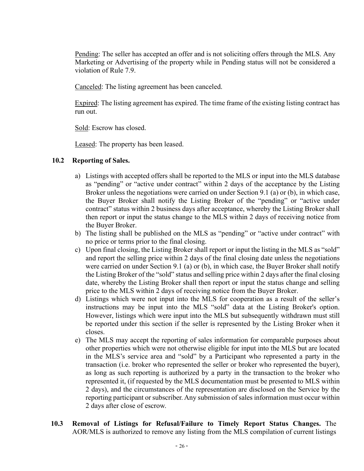Pending: The seller has accepted an offer and is not soliciting offers through the MLS. Any Marketing or Advertising of the property while in Pending status will not be considered a violation of Rule 7.9.

Canceled: The listing agreement has been canceled.

Expired: The listing agreement has expired. The time frame of the existing listing contract has run out.

Sold: Escrow has closed.

Leased: The property has been leased.

#### <span id="page-27-0"></span>**10.2 Reporting of Sales.**

- a) Listings with accepted offers shall be reported to the MLS or input into the MLS database as "pending" or "active under contract" within 2 days of the acceptance by the Listing Broker unless the negotiations were carried on under Section 9.1 (a) or (b), in which case, the Buyer Broker shall notify the Listing Broker of the "pending" or "active under contract" status within 2 business days after acceptance, whereby the Listing Broker shall then report or input the status change to the MLS within 2 days of receiving notice from the Buyer Broker.
- b) The listing shall be published on the MLS as "pending" or "active under contract" with no price or terms prior to the final closing.
- c) Upon final closing, the Listing Broker shall report or input the listing in the MLS as "sold" and report the selling price within 2 days of the final closing date unless the negotiations were carried on under Section 9.1 (a) or (b), in which case, the Buyer Broker shall notify the Listing Broker of the "sold" status and selling price within 2 days after the final closing date, whereby the Listing Broker shall then report or input the status change and selling price to the MLS within 2 days of receiving notice from the Buyer Broker.
- d) Listings which were not input into the MLS for cooperation as a result of the seller's instructions may be input into the MLS "sold" data at the Listing Broker's option. However, listings which were input into the MLS but subsequently withdrawn must still be reported under this section if the seller is represented by the Listing Broker when it closes.
- e) The MLS may accept the reporting of sales information for comparable purposes about other properties which were not otherwise eligible for input into the MLS but are located in the MLS's service area and "sold" by a Participant who represented a party in the transaction (i.e. broker who represented the seller or broker who represented the buyer), as long as such reporting is authorized by a party in the transaction to the broker who represented it, (if requested by the MLS documentation must be presented to MLS within 2 days), and the circumstances of the representation are disclosed on the Service by the reporting participant or subscriber. Any submission of sales information must occur within 2 days after close of escrow.
- <span id="page-27-1"></span>**10.3 Removal of Listings for Refusal/Failure to Timely Report Status Changes.** The AOR/MLS is authorized to remove any listing from the MLS compilation of current listings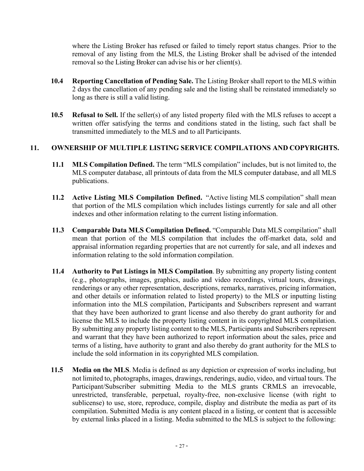where the Listing Broker has refused or failed to timely report status changes. Prior to the removal of any listing from the MLS, the Listing Broker shall be advised of the intended removal so the Listing Broker can advise his or her client(s).

- <span id="page-28-0"></span>**10.4 Reporting Cancellation of Pending Sale.** The Listing Broker shall report to the MLS within 2 days the cancellation of any pending sale and the listing shall be reinstated immediately so long as there is still a valid listing.
- <span id="page-28-1"></span>**10.5 Refusal to Sell.** If the seller(s) of any listed property filed with the MLS refuses to accept a written offer satisfying the terms and conditions stated in the listing, such fact shall be transmitted immediately to the MLS and to all Participants.

#### <span id="page-28-3"></span><span id="page-28-2"></span>**11. OWNERSHIP OF MULTIPLE LISTING SERVICE COMPILATIONS AND COPYRIGHTS.**

- **11.1 MLS Compilation Defined.** The term "MLS compilation" includes, but is not limited to, the MLS computer database, all printouts of data from the MLS computer database, and all MLS publications.
- <span id="page-28-4"></span>**11.2 Active Listing MLS Compilation Defined.** "Active listing MLS compilation" shall mean that portion of the MLS compilation which includes listings currently for sale and all other indexes and other information relating to the current listing information.
- <span id="page-28-5"></span>**11.3 Comparable Data MLS Compilation Defined.** "Comparable Data MLS compilation" shall mean that portion of the MLS compilation that includes the off-market data, sold and appraisal information regarding properties that are not currently for sale, and all indexes and information relating to the sold information compilation.
- <span id="page-28-6"></span>**11.4 Authority to Put Listings in MLS Compilation**. By submitting any property listing content (e.g., photographs, images, graphics, audio and video recordings, virtual tours, drawings, renderings or any other representation, descriptions, remarks, narratives, pricing information, and other details or information related to listed property) to the MLS or inputting listing information into the MLS compilation, Participants and Subscribers represent and warrant that they have been authorized to grant license and also thereby do grant authority for and license the MLS to include the property listing content in its copyrighted MLS compilation. By submitting any property listing content to the MLS, Participants and Subscribers represent and warrant that they have been authorized to report information about the sales, price and terms of a listing, have authority to grant and also thereby do grant authority for the MLS to include the sold information in its copyrighted MLS compilation.
- <span id="page-28-7"></span>**11.5 Media on the MLS**. Media is defined as any depiction or expression of works including, but not limited to, photographs, images, drawings, renderings, audio, video, and virtual tours. The Participant/Subscriber submitting Media to the MLS grants CRMLS an irrevocable, unrestricted, transferable, perpetual, royalty-free, non-exclusive license (with right to sublicense) to use, store, reproduce, compile, display and distribute the media as part of its compilation. Submitted Media is any content placed in a listing, or content that is accessible by external links placed in a listing. Media submitted to the MLS is subject to the following: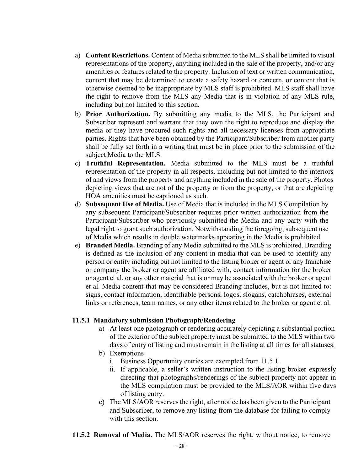- a) **Content Restrictions.** Content of Media submitted to the MLS shall be limited to visual representations of the property, anything included in the sale of the property, and/or any amenities or features related to the property. Inclusion of text or written communication, content that may be determined to create a safety hazard or concern, or content that is otherwise deemed to be inappropriate by MLS staff is prohibited. MLS staff shall have the right to remove from the MLS any Media that is in violation of any MLS rule, including but not limited to this section.
- b) **Prior Authorization.** By submitting any media to the MLS, the Participant and Subscriber represent and warrant that they own the right to reproduce and display the media or they have procured such rights and all necessary licenses from appropriate parties. Rights that have been obtained by the Participant/Subscriber from another party shall be fully set forth in a writing that must be in place prior to the submission of the subject Media to the MLS.
- c) **Truthful Representation.** Media submitted to the MLS must be a truthful representation of the property in all respects, including but not limited to the interiors of and views from the property and anything included in the sale of the property. Photos depicting views that are not of the property or from the property, or that are depicting HOA amenities must be captioned as such.
- d) **Subsequent Use of Media.** Use of Media that is included in the MLS Compilation by any subsequent Participant/Subscriber requires prior written authorization from the Participant/Subscriber who previously submitted the Media and any party with the legal right to grant such authorization. Notwithstanding the foregoing, subsequent use of Media which results in double watermarks appearing in the Media is prohibited.
- e) **Branded Media.** Branding of any Media submitted to the MLS is prohibited. Branding is defined as the inclusion of any content in media that can be used to identify any person or entity including but not limited to the listing broker or agent or any franchise or company the broker or agent are affiliated with, contact information for the broker or agent et al, or any other material that is or may be associated with the broker or agent et al. Media content that may be considered Branding includes, but is not limited to: signs, contact information, identifiable persons, logos, slogans, catchphrases, external links or references, team names, or any other items related to the broker or agent et al.

#### <span id="page-29-0"></span>**11.5.1 Mandatory submission Photograph/Rendering**

- a) At least one photograph or rendering accurately depicting a substantial portion of the exterior of the subject property must be submitted to the MLS within two days of entry of listing and must remain in the listing at all times for all statuses.
- b) Exemptions
	- i. Business Opportunity entries are exempted from 11.5.1.
	- ii. If applicable, a seller's written instruction to the listing broker expressly directing that photographs/renderings of the subject property not appear in the MLS compilation must be provided to the MLS/AOR within five days of listing entry.
- c) The MLS/AOR reserves the right, after notice has been given to the Participant and Subscriber, to remove any listing from the database for failing to comply with this section.
- <span id="page-29-1"></span>**11.5.2 Removal of Media.** The MLS/AOR reserves the right, without notice, to remove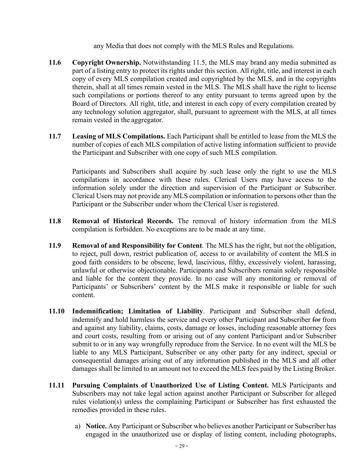any Media that does not comply with the MLS Rules and Regulations.

- <span id="page-30-0"></span>**11.6 Copyright Ownership.** Notwithstanding 11.5, the MLS may brand any media submitted as part of a listing entry to protect its rights under this section. All right, title, and interest in each copy of every MLS compilation created and copyrighted by the MLS, and in the copyrights therein, shall at all times remain vested in the MLS. The MLS shall have the right to license such compilations or portions thereof to any entity pursuant to terms agreed upon by the Board of Directors. All right, title, and interest in each copy of every compilation created by any technology solution aggregator, shall, pursuant to agreement with the MLS, at all times remain vested in the aggregator.
- <span id="page-30-1"></span>**11.7 Leasing of MLS Compilations.** Each Participant shall be entitled to lease from the MLS the number of copies of each MLS compilation of active listing information sufficient to provide the Participant and Subscriber with one copy of such MLS compilation.

Participants and Subscribers shall acquire by such lease only the right to use the MLS compilations in accordance with these rules. Clerical Users may have access to the information solely under the direction and supervision of the Participant or Subscriber. Clerical Users may not provide any MLS compilation or information to persons other than the Participant or the Subscriber under whom the Clerical User is registered.

- <span id="page-30-2"></span>**11.8 Removal of Historical Records.** The removal of history information from the MLS compilation is forbidden. No exceptions are to be made at any time.
- <span id="page-30-3"></span>**11.9 Removal of and Responsibility for Content**. The MLS has the right, but not the obligation, to reject, pull down, restrict publication of, access to or availability of content the MLS in good faith considers to be obscene, lewd, lascivious, filthy, excessively violent, harassing, unlawful or otherwise objectionable. Participants and Subscribers remain solely responsible and liable for the content they provide. In no case will any monitoring or removal of Participants' or Subscribers' content by the MLS make it responsible or liable for such content.
- <span id="page-30-4"></span>**11.10 Indemnification; Limitation of Liability**. Participant and Subscriber shall defend, indemnify and hold harmless the service and every other Participant and Subscriber for from and against any liability, claims, costs, damage or losses, including reasonable attorney fees and court costs, resulting from or arising out of any content Participant and/or Subscriber submit to or in any way wrongfully reproduce from the Service. In no event will the MLS be liable to any MLS Participant, Subscriber or any other party for any indirect, special or consequential damages arising out of any information published in the MLS and all other damages shall be limited to an amount not to exceed the MLS fees paid by the Listing Broker.
- <span id="page-30-5"></span>**11.11 Pursuing Complaints of Unauthorized Use of Listing Content.** MLS Participants and Subscribers may not take legal action against another Participant or Subscriber for alleged rules violation(s) unless the complaining Participant or Subscriber has first exhausted the remedies provided in these rules.
	- a) **Notice.** Any Participant or Subscriber who believes another Participant or Subscriber has engaged in the unauthorized use or display of listing content, including photographs,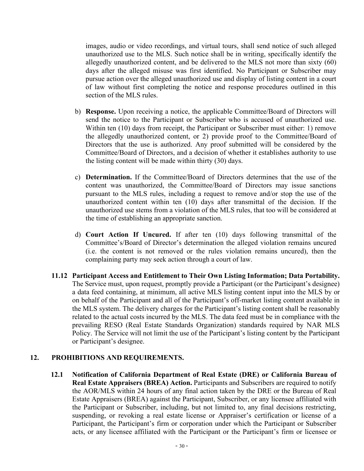images, audio or video recordings, and virtual tours, shall send notice of such alleged unauthorized use to the MLS. Such notice shall be in writing, specifically identify the allegedly unauthorized content, and be delivered to the MLS not more than sixty (60) days after the alleged misuse was first identified. No Participant or Subscriber may pursue action over the alleged unauthorized use and display of listing content in a court of law without first completing the notice and response procedures outlined in this section of the MLS rules.

- b) **Response.** Upon receiving a notice, the applicable Committee/Board of Directors will send the notice to the Participant or Subscriber who is accused of unauthorized use. Within ten (10) days from receipt, the Participant or Subscriber must either: 1) remove the allegedly unauthorized content, or 2) provide proof to the Committee/Board of Directors that the use is authorized. Any proof submitted will be considered by the Committee/Board of Directors, and a decision of whether it establishes authority to use the listing content will be made within thirty (30) days.
- c) **Determination.** If the Committee/Board of Directors determines that the use of the content was unauthorized, the Committee/Board of Directors may issue sanctions pursuant to the MLS rules, including a request to remove and/or stop the use of the unauthorized content within ten (10) days after transmittal of the decision. If the unauthorized use stems from a violation of the MLS rules, that too will be considered at the time of establishing an appropriate sanction.
- d) **Court Action If Uncured.** If after ten (10) days following transmittal of the Committee's/Board of Director's determination the alleged violation remains uncured (i.e. the content is not removed or the rules violation remains uncured), then the complaining party may seek action through a court of law.
- <span id="page-31-0"></span>**11.12 Participant Access and Entitlement to Their Own Listing Information; Data Portability.** The Service must, upon request, promptly provide a Participant (or the Participant's designee) a data feed containing, at minimum, all active MLS listing content input into the MLS by or on behalf of the Participant and all of the Participant's off-market listing content available in the MLS system. The delivery charges for the Participant's listing content shall be reasonably related to the actual costs incurred by the MLS. The data feed must be in compliance with the prevailing RESO (Real Estate Standards Organization) standards required by NAR MLS Policy. The Service will not limit the use of the Participant's listing content by the Participant or Participant's designee.

#### <span id="page-31-2"></span><span id="page-31-1"></span>**12. PROHIBITIONS AND REQUIREMENTS.**

**12.1 Notification of California Department of Real Estate (DRE) or California Bureau of Real Estate Appraisers (BREA) Action.** Participants and Subscribers are required to notify the AOR/MLS within 24 hours of any final action taken by the DRE or the Bureau of Real Estate Appraisers (BREA) against the Participant, Subscriber, or any licensee affiliated with the Participant or Subscriber, including, but not limited to, any final decisions restricting, suspending, or revoking a real estate license or Appraiser's certification or license of a Participant, the Participant's firm or corporation under which the Participant or Subscriber acts, or any licensee affiliated with the Participant or the Participant's firm or licensee or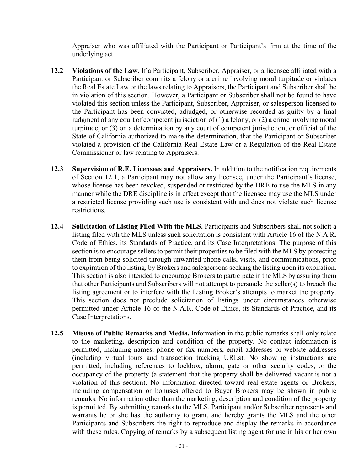Appraiser who was affiliated with the Participant or Participant's firm at the time of the underlying act.

- <span id="page-32-0"></span>**12.2 Violations of the Law.** If a Participant, Subscriber, Appraiser, or a licensee affiliated with a Participant or Subscriber commits a felony or a crime involving moral turpitude or violates the Real Estate Law or the laws relating to Appraisers, the Participant and Subscriber shall be in violation of this section. However, a Participant or Subscriber shall not be found to have violated this section unless the Participant, Subscriber, Appraiser, or salesperson licensed to the Participant has been convicted, adjudged, or otherwise recorded as guilty by a final judgment of any court of competent jurisdiction of (1) a felony, or (2) a crime involving moral turpitude, or (3) on a determination by any court of competent jurisdiction, or official of the State of California authorized to make the determination, that the Participant or Subscriber violated a provision of the California Real Estate Law or a Regulation of the Real Estate Commissioner or law relating to Appraisers.
- <span id="page-32-1"></span>**12.3 Supervision of R.E. Licensees and Appraisers.** In addition to the notification requirements of Section 12.1, a Participant may not allow any licensee, under the Participant's license, whose license has been revoked, suspended or restricted by the DRE to use the MLS in any manner while the DRE discipline is in effect except that the licensee may use the MLS under a restricted license providing such use is consistent with and does not violate such license restrictions.
- <span id="page-32-2"></span>**12.4 Solicitation of Listing Filed With the MLS.** Participants and Subscribers shall not solicit a listing filed with the MLS unless such solicitation is consistent with Article 16 of the N.A.R. Code of Ethics, its Standards of Practice, and its Case Interpretations. The purpose of this section is to encourage sellers to permit their properties to be filed with the MLS by protecting them from being solicited through unwanted phone calls, visits, and communications, prior to expiration of the listing, by Brokers and salespersons seeking the listing upon its expiration. This section is also intended to encourage Brokers to participate in the MLS by assuring them that other Participants and Subscribers will not attempt to persuade the seller(s) to breach the listing agreement or to interfere with the Listing Broker's attempts to market the property. This section does not preclude solicitation of listings under circumstances otherwise permitted under Article 16 of the N.A.R. Code of Ethics, its Standards of Practice, and its Case Interpretations.
- <span id="page-32-3"></span>**12.5 Misuse of Public Remarks and Media.** Information in the public remarks shall only relate to the marketing**,** description and condition of the property. No contact information is permitted, including names, phone or fax numbers, email addresses or website addresses (including virtual tours and transaction tracking URLs). No showing instructions are permitted, including references to lockbox, alarm, gate or other security codes, or the occupancy of the property (a statement that the property shall be delivered vacant is not a violation of this section). No information directed toward real estate agents or Brokers, including compensation or bonuses offered to Buyer Brokers may be shown in public remarks. No information other than the marketing, description and condition of the property is permitted. By submitting remarks to the MLS, Participant and/or Subscriber represents and warrants he or she has the authority to grant, and hereby grants the MLS and the other Participants and Subscribers the right to reproduce and display the remarks in accordance with these rules. Copying of remarks by a subsequent listing agent for use in his or her own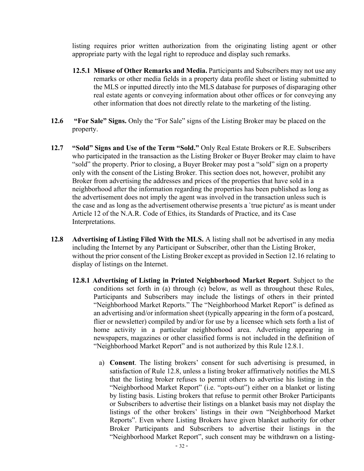listing requires prior written authorization from the originating listing agent or other appropriate party with the legal right to reproduce and display such remarks.

- <span id="page-33-0"></span>**12.5.1 Misuse of Other Remarks and Media.** Participants and Subscribers may not use any remarks or other media fields in a property data profile sheet or listing submitted to the MLS or inputted directly into the MLS database for purposes of disparaging other real estate agents or conveying information about other offices or for conveying any other information that does not directly relate to the marketing of the listing.
- <span id="page-33-1"></span>**12.6 "For Sale" Signs.** Only the "For Sale" signs of the Listing Broker may be placed on the property.
- <span id="page-33-2"></span>**12.7 "Sold" Signs and Use of the Term "Sold."** Only Real Estate Brokers or R.E. Subscribers who participated in the transaction as the Listing Broker or Buyer Broker may claim to have "sold" the property. Prior to closing, a Buyer Broker may post a "sold" sign on a property only with the consent of the Listing Broker. This section does not, however, prohibit any Broker from advertising the addresses and prices of the properties that have sold in a neighborhood after the information regarding the properties has been published as long as the advertisement does not imply the agent was involved in the transaction unless such is the case and as long as the advertisement otherwise presents a `true picture' as is meant under Article 12 of the N.A.R. Code of Ethics, its Standards of Practice, and its Case Interpretations.
- <span id="page-33-3"></span>**12.8 Advertising of Listing Filed With the MLS.** A listing shall not be advertised in any media including the Internet by any Participant or Subscriber, other than the Listing Broker, without the prior consent of the Listing Broker except as provided in Section 12.16 relating to display of listings on the Internet.
	- **12.8.1 Advertising of Listing in Printed Neighborhood Market Report**. Subject to the conditions set forth in (a) through (c) below, as well as throughout these Rules, Participants and Subscribers may include the listings of others in their printed "Neighborhood Market Reports." The "Neighborhood Market Report" is defined as an advertising and/or information sheet (typically appearing in the form of a postcard, flier or newsletter) compiled by and/or for use by a licensee which sets forth a list of home activity in a particular neighborhood area. Advertising appearing in newspapers, magazines or other classified forms is not included in the definition of "Neighborhood Market Report" and is not authorized by this Rule 12.8.1.
		- a) **Consent**. The listing brokers' consent for such advertising is presumed, in satisfaction of Rule 12.8, unless a listing broker affirmatively notifies the MLS that the listing broker refuses to permit others to advertise his listing in the "Neighborhood Market Report" (i.e. "opts-out") either on a blanket or listing by listing basis. Listing brokers that refuse to permit other Broker Participants or Subscribers to advertise their listings on a blanket basis may not display the listings of the other brokers' listings in their own "Neighborhood Market Reports". Even where Listing Brokers have given blanket authority for other Broker Participants and Subscribers to advertise their listings in the "Neighborhood Market Report", such consent may be withdrawn on a listing-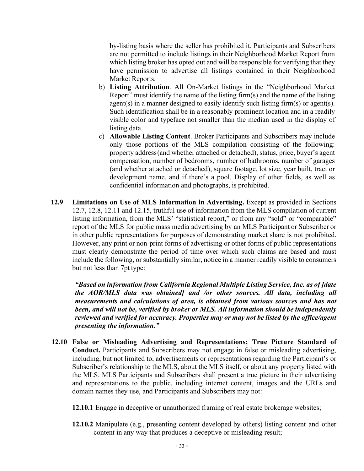by-listing basis where the seller has prohibited it. Participants and Subscribers are not permitted to include listings in their Neighborhood Market Report from which listing broker has opted out and will be responsible for verifying that they have permission to advertise all listings contained in their Neighborhood Market Reports.

- b) **Listing Attribution**. All On-Market listings in the "Neighborhood Market Report" must identify the name of the listing firm(s) and the name of the listing agent(s) in a manner designed to easily identify such listing firm(s) or agent(s). Such identification shall be in a reasonably prominent location and in a readily visible color and typeface not smaller than the median used in the display of listing data.
- c) **Allowable Listing Content**. Broker Participants and Subscribers may include only those portions of the MLS compilation consisting of the following: property address(and whether attached or detached), status, price, buyer's agent compensation, number of bedrooms, number of bathrooms, number of garages (and whether attached or detached), square footage, lot size, year built, tract or development name, and if there's a pool. Display of other fields, as well as confidential information and photographs, is prohibited.
- <span id="page-34-0"></span>**12.9 Limitations on Use of MLS Information in Advertising.** Except as provided in Sections 12.7, 12.8, 12.11 and 12.15, truthful use of information from the MLS compilation of current listing information, from the MLS' "statistical report," or from any "sold" or "comparable" report of the MLS for public mass media advertising by an MLS Participant or Subscriber or in other public representations for purposes of demonstrating market share is not prohibited. However, any print or non-print forms of advertising or other forms of public representations must clearly demonstrate the period of time over which such claims are based and must include the following, or substantially similar, notice in a manner readily visible to consumers but not less than 7pt type:

*"Based on information from California Regional Multiple Listing Service, Inc. as of [date the AOR/MLS data was obtained] and /or other sources. All data, including all measurements and calculations of area, is obtained from various sources and has not been, and will not be, verified by broker or MLS. All information should be independently reviewed and verified for accuracy. Properties may or may not be listed by the office/agent presenting the information."*

- <span id="page-34-1"></span>**12.10 False or Misleading Advertising and Representations; True Picture Standard of Conduct.** Participants and Subscribers may not engage in false or misleading advertising, including, but not limited to, advertisements or representations regarding the Participant's or Subscriber's relationship to the MLS, about the MLS itself, or about any property listed with the MLS. MLS Participants and Subscribers shall present a true picture in their advertising and representations to the public, including internet content, images and the URLs and domain names they use, and Participants and Subscribers may not:
	- **12.10.1** Engage in deceptive or unauthorized framing of real estate brokerage websites;
	- **12.10.2** Manipulate (e.g., presenting content developed by others) listing content and other content in any way that produces a deceptive or misleading result;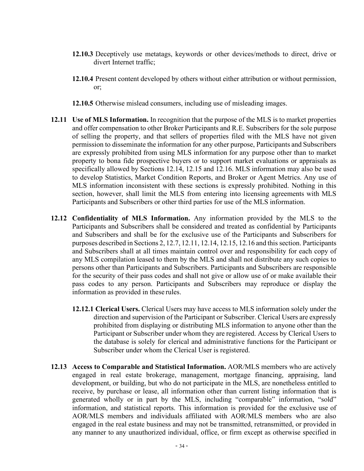- **12.10.3** Deceptively use metatags, keywords or other devices/methods to direct, drive or divert Internet traffic;
- **12.10.4** Present content developed by others without either attribution or without permission, or;
- **12.10.5** Otherwise mislead consumers, including use of misleading images.
- <span id="page-35-0"></span>**12.11 Use of MLS Information.** In recognition that the purpose of the MLS is to market properties and offer compensation to other Broker Participants and R.E. Subscribers for the sole purpose of selling the property, and that sellers of properties filed with the MLS have not given permission to disseminate the information for any other purpose, Participants and Subscribers are expressly prohibited from using MLS information for any purpose other than to market property to bona fide prospective buyers or to support market evaluations or appraisals as specifically allowed by Sections 12.14, 12.15 and 12.16. MLS information may also be used to develop Statistics, Market Condition Reports, and Broker or Agent Metrics. Any use of MLS information inconsistent with these sections is expressly prohibited. Nothing in this section, however, shall limit the MLS from entering into licensing agreements with MLS Participants and Subscribers or other third parties for use of the MLS information.
- <span id="page-35-1"></span>**12.12 Confidentiality of MLS Information.** Any information provided by the MLS to the Participants and Subscribers shall be considered and treated as confidential by Participants and Subscribers and shall be for the exclusive use of the Participants and Subscribers for purposes described in Sections 2, 12.7, 12.11, 12.14, 12.15, 12.16 and this section. Participants and Subscribers shall at all times maintain control over and responsibility for each copy of any MLS compilation leased to them by the MLS and shall not distribute any such copies to persons other than Participants and Subscribers. Participants and Subscribers are responsible for the security of their pass codes and shall not give or allow use of or make available their pass codes to any person. Participants and Subscribers may reproduce or display the information as provided in these rules.
	- **12.12.1 Clerical Users.** Clerical Users may have access to MLS information solely under the direction and supervision of the Participant or Subscriber. Clerical Users are expressly prohibited from displaying or distributing MLS information to anyone other than the Participant or Subscriber under whom they are registered. Access by Clerical Users to the database is solely for clerical and administrative functions for the Participant or Subscriber under whom the Clerical User is registered.
- <span id="page-35-3"></span><span id="page-35-2"></span>**12.13 Access to Comparable and Statistical Information.** AOR/MLS members who are actively engaged in real estate brokerage, management, mortgage financing, appraising, land development, or building, but who do not participate in the MLS, are nonetheless entitled to receive, by purchase or lease, all information other than current listing information that is generated wholly or in part by the MLS, including "comparable" information, "sold" information, and statistical reports. This information is provided for the exclusive use of AOR/MLS members and individuals affiliated with AOR/MLS members who are also engaged in the real estate business and may not be transmitted, retransmitted, or provided in any manner to any unauthorized individual, office, or firm except as otherwise specified in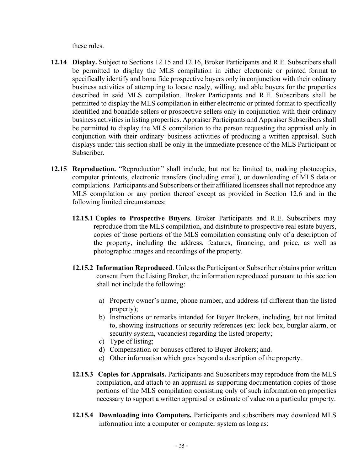these rules.

- <span id="page-36-0"></span>**12.14 Display.** Subject to Sections 12.15 and 12.16, Broker Participants and R.E. Subscribers shall be permitted to display the MLS compilation in either electronic or printed format to specifically identify and bona fide prospective buyers only in conjunction with their ordinary business activities of attempting to locate ready, willing, and able buyers for the properties described in said MLS compilation. Broker Participants and R.E. Subscribers shall be permitted to display the MLS compilation in either electronic or printed format to specifically identified and bonafide sellers or prospective sellers only in conjunction with their ordinary business activities in listing properties. Appraiser Participants and Appraiser Subscribers shall be permitted to display the MLS compilation to the person requesting the appraisal only in conjunction with their ordinary business activities of producing a written appraisal. Such displays under this section shall be only in the immediate presence of the MLS Participant or Subscriber.
- <span id="page-36-5"></span><span id="page-36-4"></span><span id="page-36-3"></span><span id="page-36-2"></span><span id="page-36-1"></span>**12.15 Reproduction.** "Reproduction" shall include, but not be limited to, making photocopies, computer printouts, electronic transfers (including email), or downloading of MLS data or compilations. Participants and Subscribers or their affiliated licensees shall not reproduce any MLS compilation or any portion thereof except as provided in Section 12.6 and in the following limited circumstances:
	- **12.15.1 Copies to Prospective Buyers**. Broker Participants and R.E. Subscribers may reproduce from the MLS compilation, and distribute to prospective real estate buyers, copies of those portions of the MLS compilation consisting only of a description of the property, including the address, features, financing, and price, as well as photographic images and recordings of the property.
	- **12.15.2 Information Reproduced**. Unless the Participant or Subscriber obtains prior written consent from the Listing Broker, the information reproduced pursuant to this section shall not include the following:
		- a) Property owner's name, phone number, and address (if different than the listed property);
		- b) Instructions or remarks intended for Buyer Brokers, including, but not limited to, showing instructions or security references (ex: lock box, burglar alarm, or security system, vacancies) regarding the listed property;
		- c) Type of listing;
		- d) Compensation or bonuses offered to Buyer Brokers; and.
		- e) Other information which goes beyond a description of the property.
	- **12.15.3 Copies for Appraisals.** Participants and Subscribers may reproduce from the MLS compilation, and attach to an appraisal as supporting documentation copies of those portions of the MLS compilation consisting only of such information on properties necessary to support a written appraisal or estimate of value on a particular property.
	- **12.15.4 Downloading into Computers.** Participants and subscribers may download MLS information into a computer or computer system as long as: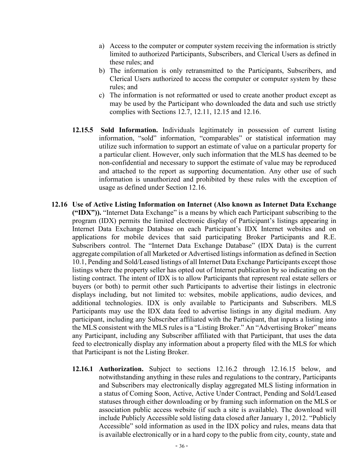- a) Access to the computer or computer system receiving the information is strictly limited to authorized Participants, Subscribers, and Clerical Users as defined in these rules; and
- b) The information is only retransmitted to the Participants, Subscribers, and Clerical Users authorized to access the computer or computer system by these rules; and
- c) The information is not reformatted or used to create another product except as may be used by the Participant who downloaded the data and such use strictly complies with Sections 12.7, 12.11, 12.15 and 12.16.
- <span id="page-37-0"></span>**12.15.5 Sold Information.** Individuals legitimately in possession of current listing information, "sold" information, "comparables" or statistical information may utilize such information to support an estimate of value on a particular property for a particular client. However, only such information that the MLS has deemed to be non-confidential and necessary to support the estimate of value may be reproduced and attached to the report as supporting documentation. Any other use of such information is unauthorized and prohibited by these rules with the exception of usage as defined under Section 12.16.
- <span id="page-37-2"></span><span id="page-37-1"></span>**12.16 Use of Active Listing Information on Internet (Also known as Internet Data Exchange ("IDX")).** "Internet Data Exchange" is a means by which each Participant subscribing to the program (IDX) permits the limited electronic display of Participant's listings appearing in Internet Data Exchange Database on each Participant's IDX Internet websites and on applications for mobile devices that said participating Broker Participants and R.E. Subscribers control. The "Internet Data Exchange Database" (IDX Data) is the current aggregate compilation of all Marketed or Advertised listings information as defined in Section 10.1, Pending and Sold/Leased listings of all Internet Data Exchange Participants except those listings where the property seller has opted out of Internet publication by so indicating on the listing contract. The intent of IDX is to allow Participants that represent real estate sellers or buyers (or both) to permit other such Participants to advertise their listings in electronic displays including, but not limited to: websites, mobile applications, audio devices, and additional technologies. IDX is only available to Participants and Subscribers. MLS Participants may use the IDX data feed to advertise listings in any digital medium. Any participant, including any Subscriber affiliated with the Participant, that inputs a listing into the MLS consistent with the MLS rules is a "Listing Broker." An "Advertising Broker" means any Participant, including any Subscriber affiliated with that Participant, that uses the data feed to electronically display any information about a property filed with the MLS for which that Participant is not the Listing Broker.
	- **12.16.1 Authorization.** Subject to sections 12.16.2 through 12.16.15 below, and notwithstanding anything in these rules and regulations to the contrary, Participants and Subscribers may electronically display aggregated MLS listing information in a status of Coming Soon, Active, Active Under Contract, Pending and Sold/Leased statuses through either downloading or by framing such information on the MLS or association public access website (if such a site is available). The download will include Publicly Accessible sold listing data closed after January 1, 2012. "Publicly Accessible" sold information as used in the IDX policy and rules, means data that is available electronically or in a hard copy to the public from city, county, state and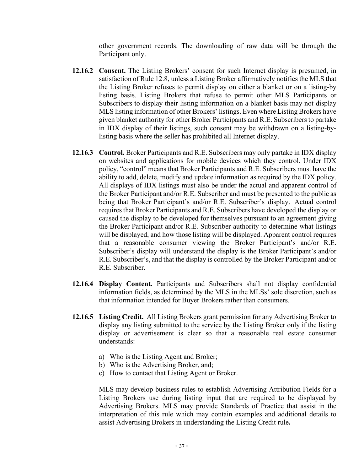other government records. The downloading of raw data will be through the Participant only.

- <span id="page-38-0"></span>**12.16.2 Consent.** The Listing Brokers' consent for such Internet display is presumed, in satisfaction of Rule 12.8, unless a Listing Broker affirmatively notifies the MLS that the Listing Broker refuses to permit display on either a blanket or on a listing-by listing basis. Listing Brokers that refuse to permit other MLS Participants or Subscribers to display their listing information on a blanket basis may not display MLS listing information of other Brokers' listings. Even where Listing Brokers have given blanket authority for other Broker Participants and R.E. Subscribers to partake in IDX display of their listings, such consent may be withdrawn on a listing-bylisting basis where the seller has prohibited all Internet display.
- <span id="page-38-1"></span>**12.16.3 Control.** Broker Participants and R.E. Subscribers may only partake in IDX display on websites and applications for mobile devices which they control. Under IDX policy, "control" means that Broker Participants and R.E. Subscribers must have the ability to add, delete, modify and update information as required by the IDX policy. All displays of IDX listings must also be under the actual and apparent control of the Broker Participant and/or R.E. Subscriber and must be presented to the public as being that Broker Participant's and/or R.E. Subscriber's display. Actual control requires that Broker Participants and R.E. Subscribers have developed the display or caused the display to be developed for themselves pursuant to an agreement giving the Broker Participant and/or R.E. Subscriber authority to determine what listings will be displayed, and how those listing will be displayed. Apparent control requires that a reasonable consumer viewing the Broker Participant's and/or R.E. Subscriber's display will understand the display is the Broker Participant's and/or R.E. Subscriber's, and that the display is controlled by the Broker Participant and/or R.E. Subscriber.
- <span id="page-38-2"></span>**12.16.4 Display Content.** Participants and Subscribers shall not display confidential information fields, as determined by the MLS in the MLSs' sole discretion, such as that information intended for Buyer Brokers rather than consumers.
- <span id="page-38-3"></span>**12.16.5 Listing Credit.** All Listing Brokers grant permission for any Advertising Broker to display any listing submitted to the service by the Listing Broker only if the listing display or advertisement is clear so that a reasonable real estate consumer understands:
	- a) Who is the Listing Agent and Broker;
	- b) Who is the Advertising Broker, and;
	- c) How to contact that Listing Agent or Broker.

MLS may develop business rules to establish Advertising Attribution Fields for a Listing Brokers use during listing input that are required to be displayed by Advertising Brokers. MLS may provide Standards of Practice that assist in the interpretation of this rule which may contain examples and additional details to assist Advertising Brokers in understanding the Listing Credit rule**.**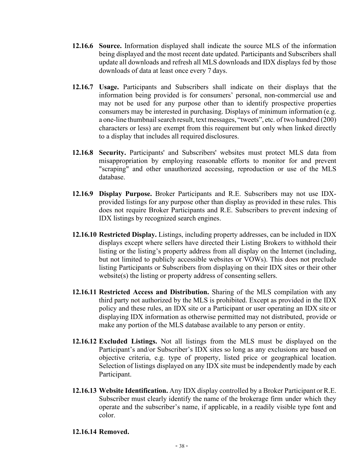- <span id="page-39-0"></span>**12.16.6 Source.** Information displayed shall indicate the source MLS of the information being displayed and the most recent date updated. Participants and Subscribers shall update all downloads and refresh all MLS downloads and IDX displays fed by those downloads of data at least once every 7 days.
- <span id="page-39-1"></span>**12.16.7 Usage.** Participants and Subscribers shall indicate on their displays that the information being provided is for consumers' personal, non-commercial use and may not be used for any purpose other than to identify prospective properties consumers may be interested in purchasing. Displays of minimum information (e.g. a one-line thumbnail search result, text messages, "tweets", etc. of two hundred (200) characters or less) are exempt from this requirement but only when linked directly to a display that includes all required disclosures.
- <span id="page-39-2"></span>**12.16.8 Security.** Participants' and Subscribers' websites must protect MLS data from misappropriation by employing reasonable efforts to monitor for and prevent "scraping" and other unauthorized accessing, reproduction or use of the MLS database.
- <span id="page-39-3"></span>**12.16.9 Display Purpose.** Broker Participants and R.E. Subscribers may not use IDXprovided listings for any purpose other than display as provided in these rules. This does not require Broker Participants and R.E. Subscribers to prevent indexing of IDX listings by recognized search engines.
- <span id="page-39-4"></span>**12.16.10 Restricted Display.** Listings, including property addresses, can be included in IDX displays except where sellers have directed their Listing Brokers to withhold their listing or the listing's property address from all display on the Internet (including, but not limited to publicly accessible websites or VOWs). This does not preclude listing Participants or Subscribers from displaying on their IDX sites or their other website(s) the listing or property address of consenting sellers.
- <span id="page-39-5"></span>**12.16.11 Restricted Access and Distribution.** Sharing of the MLS compilation with any third party not authorized by the MLS is prohibited. Except as provided in the IDX policy and these rules, an IDX site or a Participant or user operating an IDX site or displaying IDX information as otherwise permitted may not distributed, provide or make any portion of the MLS database available to any person or entity.
- <span id="page-39-6"></span>**12.16.12 Excluded Listings.** Not all listings from the MLS must be displayed on the Participant's and/or Subscriber's IDX sites so long as any exclusions are based on objective criteria, e.g. type of property, listed price or geographical location. Selection of listings displayed on any IDX site must be independently made by each Participant.
- <span id="page-39-7"></span>**12.16.13 Website Identification.** Any IDX display controlled by a Broker Participant or R.E. Subscriber must clearly identify the name of the brokerage firm under which they operate and the subscriber's name, if applicable, in a readily visible type font and color.

#### <span id="page-39-8"></span>**12.16.14 Removed.**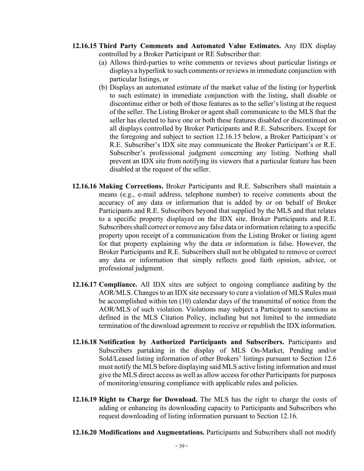- <span id="page-40-0"></span>**12.16.15 Third Party Comments and Automated Value Estimates.** Any IDX display controlled by a Broker Participant or RE Subscriber that:
	- (a) Allows third-parties to write comments or reviews about particular listings or displays a hyperlink to such comments or reviews in immediate conjunction with particular listings, or
	- (b) Displays an automated estimate of the market value of the listing (or hyperlink to such estimate) in immediate conjunction with the listing, shall disable or discontinue either or both of those features as to the seller'slisting at the request of the seller. The Listing Broker or agent shall communicate to the MLS that the seller has elected to have one or both these features disabled or discontinued on all displays controlled by Broker Participants and R.E. Subscribers. Except for the foregoing and subject to section 12.16.15 below, a Broker Participant's or R.E. Subscriber's IDX site may communicate the Broker Participant's or R.E. Subscriber's professional judgment concerning any listing. Nothing shall prevent an IDX site from notifying its viewers that a particular feature has been disabled at the request of the seller.
- <span id="page-40-1"></span>**12.16.16 Making Corrections.** Broker Participants and R.E. Subscribers shall maintain a means (e.g., e-mail address, telephone number) to receive comments about the accuracy of any data or information that is added by or on behalf of Broker Participants and R.E. Subscribers beyond that supplied by the MLS and that relates to a specific property displayed on the IDX site. Broker Participants and R.E. Subscribers shall correct or remove any false data or information relating to a specific property upon receipt of a communication from the Listing Broker or listing agent for that property explaining why the data or information is false. However, the Broker Participants and R.E. Subscribers shall not be obligated to remove or correct any data or information that simply reflects good faith opinion, advice, or professional judgment.
- <span id="page-40-2"></span>**12.16.17 Compliance.** All IDX sites are subject to ongoing compliance auditing by the AOR/MLS. Changes to an IDX site necessary to cure a violation of MLS Rules must be accomplished within ten (10) calendar days of the transmittal of notice from the AOR/MLS of such violation. Violations may subject a Participant to sanctions as defined in the MLS Citation Policy, including but not limited to the immediate termination of the download agreement to receive or republish the IDX information.
- <span id="page-40-3"></span>**12.16.18 Notification by Authorized Participants and Subscribers.** Participants and Subscribers partaking in the display of MLS On-Market, Pending and/or Sold/Leased listing information of other Brokers' listings pursuant to Section 12.6 must notify the MLS before displaying said MLS active listing information and must give the MLS direct access as well as allow accessfor other Participants for purposes of monitoring/ensuring compliance with applicable rules and policies.
- <span id="page-40-4"></span>**12.16.19 Right to Charge for Download.** The MLS has the right to charge the costs of adding or enhancing its downloading capacity to Participants and Subscribers who request downloading of listing information pursuant to Section 12.16.
- <span id="page-40-5"></span>**12.16.20 Modifications and Augmentations.** Participants and Subscribers shall not modify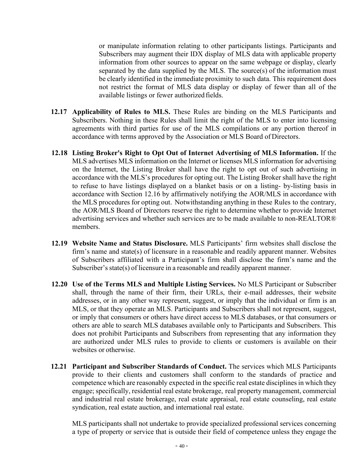or manipulate information relating to other participants listings. Participants and Subscribers may augment their IDX display of MLS data with applicable property information from other sources to appear on the same webpage or display, clearly separated by the data supplied by the MLS. The source(s) of the information must be clearly identified in the immediate proximity to such data. This requirement does not restrict the format of MLS data display or display of fewer than all of the available listings or fewer authorized fields.

- <span id="page-41-0"></span>**12.17 Applicability of Rules to MLS.** These Rules are binding on the MLS Participants and Subscribers. Nothing in these Rules shall limit the right of the MLS to enter into licensing agreements with third parties for use of the MLS compilations or any portion thereof in accordance with terms approved by the Association or MLS Board of Directors.
- <span id="page-41-1"></span>**12.18 Listing Broker's Right to Opt Out of Internet Advertising of MLS Information.** If the MLS advertises MLS information on the Internet or licenses MLS information for advertising on the Internet, the Listing Broker shall have the right to opt out of such advertising in accordance with the MLS's procedures for opting out. The Listing Broker shall have the right to refuse to have listings displayed on a blanket basis or on a listing- by-listing basis in accordance with Section 12.16 by affirmatively notifying the AOR/MLS in accordance with the MLS procedures for opting out. Notwithstanding anything in these Rules to the contrary, the AOR/MLS Board of Directors reserve the right to determine whether to provide Internet advertising services and whether such services are to be made available to non-REALTOR® members.
- <span id="page-41-2"></span>**12.19 Website Name and Status Disclosure.** MLS Participants' firm websites shall disclose the firm's name and state(s) of licensure in a reasonable and readily apparent manner. Websites of Subscribers affiliated with a Participant's firm shall disclose the firm's name and the Subscriber's state(s) of licensure in a reasonable and readily apparent manner.
- <span id="page-41-3"></span>**12.20 Use of the Terms MLS and Multiple Listing Services.** No MLS Participant or Subscriber shall, through the name of their firm, their URLs, their e-mail addresses, their website addresses, or in any other way represent, suggest, or imply that the individual or firm is an MLS, or that they operate an MLS. Participants and Subscribers shall not represent, suggest, or imply that consumers or others have direct access to MLS databases, or that consumers or others are able to search MLS databases available only to Participants and Subscribers. This does not prohibit Participants and Subscribers from representing that any information they are authorized under MLS rules to provide to clients or customers is available on their websites or otherwise.
- <span id="page-41-4"></span>**12.21 Participant and Subscriber Standards of Conduct.** The services which MLS Participants provide to their clients and customers shall conform to the standards of practice and competence which are reasonably expected in the specific real estate disciplines in which they engage; specifically, residential real estate brokerage, real property management, commercial and industrial real estate brokerage, real estate appraisal, real estate counseling, real estate syndication, real estate auction, and international real estate.

MLS participants shall not undertake to provide specialized professional services concerning a type of property or service that is outside their field of competence unless they engage the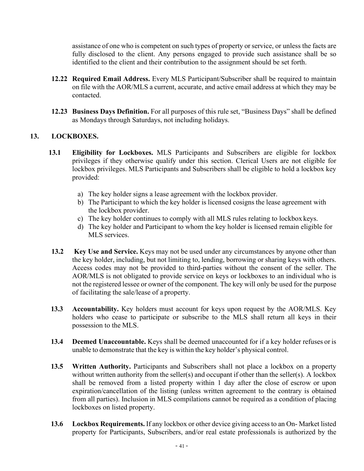assistance of one who is competent on such types of property or service, or unless the facts are fully disclosed to the client. Any persons engaged to provide such assistance shall be so identified to the client and their contribution to the assignment should be set forth.

- <span id="page-42-0"></span>**12.22 Required Email Address.** Every MLS Participant/Subscriber shall be required to maintain on file with the AOR/MLS a current, accurate, and active email address at which they may be contacted.
- **12.23 Business Days Definition.** For all purposes of this rule set, "Business Days" shall be defined as Mondays through Saturdays, not including holidays.

#### <span id="page-42-3"></span><span id="page-42-2"></span><span id="page-42-1"></span>**13. LOCKBOXES.**

- **13.1 Eligibility for Lockboxes.** MLS Participants and Subscribers are eligible for lockbox privileges if they otherwise qualify under this section. Clerical Users are not eligible for lockbox privileges. MLS Participants and Subscribers shall be eligible to hold a lockbox key provided:
	- a) The key holder signs a lease agreement with the lockbox provider.
	- b) The Participant to which the key holder is licensed cosigns the lease agreement with the lockbox provider.
	- c) The key holder continues to comply with all MLS rules relating to lockbox keys.
	- d) The key holder and Participant to whom the key holder is licensed remain eligible for MLS services.
- <span id="page-42-4"></span>**13.2 Key Use and Service.** Keys may not be used under any circumstances by anyone other than the key holder, including, but not limiting to, lending, borrowing or sharing keys with others. Access codes may not be provided to third-parties without the consent of the seller. The AOR/MLS is not obligated to provide service on keys or lockboxes to an individual who is not the registered lessee or owner of the component. The key will only be used for the purpose of facilitating the sale/lease of a property.
- <span id="page-42-5"></span>**13.3 Accountability.** Key holders must account for keys upon request by the AOR/MLS. Key holders who cease to participate or subscribe to the MLS shall return all keys in their possession to the MLS.
- <span id="page-42-6"></span>**13.4 Deemed Unaccountable.** Keys shall be deemed unaccounted for if a key holder refuses or is unable to demonstrate that the key is within the key holder's physical control.
- <span id="page-42-7"></span>**13.5 Written Authority.** Participants and Subscribers shall not place a lockbox on a property without written authority from the seller(s) and occupant if other than the seller(s). A lockbox shall be removed from a listed property within 1 day after the close of escrow or upon expiration/cancellation of the listing (unless written agreement to the contrary is obtained from all parties). Inclusion in MLS compilations cannot be required as a condition of placing lockboxes on listed property.
- <span id="page-42-8"></span>**13.6 Lockbox Requirements.** If any lockbox or other device giving access to an On- Market listed property for Participants, Subscribers, and/or real estate professionals is authorized by the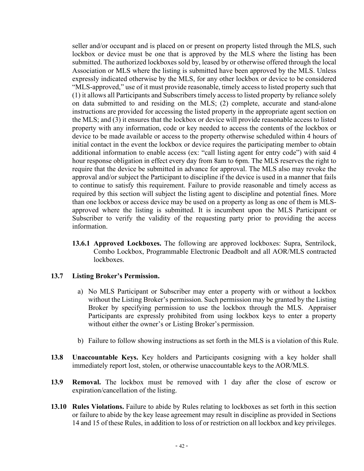seller and/or occupant and is placed on or present on property listed through the MLS, such lockbox or device must be one that is approved by the MLS where the listing has been submitted. The authorized lockboxes sold by, leased by or otherwise offered through the local Association or MLS where the listing is submitted have been approved by the MLS. Unless expressly indicated otherwise by the MLS, for any other lockbox or device to be considered "MLS-approved," use of it must provide reasonable, timely access to listed property such that (1) it allows all Participants and Subscribers timely access to listed property by reliance solely on data submitted to and residing on the MLS; (2) complete, accurate and stand-alone instructions are provided for accessing the listed property in the appropriate agent section on the MLS; and (3) it ensures that the lockbox or device will provide reasonable access to listed property with any information, code or key needed to access the contents of the lockbox or device to be made available or access to the property otherwise scheduled within 4 hours of initial contact in the event the lockbox or device requires the participating member to obtain additional information to enable access (ex: "call listing agent for entry code") with said 4 hour response obligation in effect every day from 8am to 6pm. The MLS reserves the right to require that the device be submitted in advance for approval. The MLS also may revoke the approval and/or subject the Participant to discipline if the device is used in a manner that fails to continue to satisfy this requirement. Failure to provide reasonable and timely access as required by this section will subject the listing agent to discipline and potential fines. More than one lockbox or access device may be used on a property as long as one of them is MLSapproved where the listing is submitted. It is incumbent upon the MLS Participant or Subscriber to verify the validity of the requesting party prior to providing the access information.

**13.6.1 Approved Lockboxes.** The following are approved lockboxes: Supra, Sentrilock, Combo Lockbox, Programmable Electronic Deadbolt and all AOR/MLS contracted lockboxes.

#### <span id="page-43-1"></span><span id="page-43-0"></span>**13.7 Listing Broker's Permission.**

- a) No MLS Participant or Subscriber may enter a property with or without a lockbox without the Listing Broker's permission. Such permission may be granted by the Listing Broker by specifying permission to use the lockbox through the MLS. Appraiser Participants are expressly prohibited from using lockbox keys to enter a property without either the owner's or Listing Broker's permission.
- b) Failure to follow showing instructions as set forth in the MLS is a violation of this Rule.
- <span id="page-43-2"></span>**13.8 Unaccountable Keys.** Key holders and Participants cosigning with a key holder shall immediately report lost, stolen, or otherwise unaccountable keys to the AOR/MLS.
- <span id="page-43-3"></span>**13.9 Removal.** The lockbox must be removed with 1 day after the close of escrow or expiration/cancellation of the listing.
- <span id="page-43-4"></span>**13.10 Rules Violations.** Failure to abide by Rules relating to lockboxes as set forth in this section or failure to abide by the key lease agreement may result in discipline as provided in Sections 14 and 15 of these Rules, in addition to loss of or restriction on all lockbox and key privileges.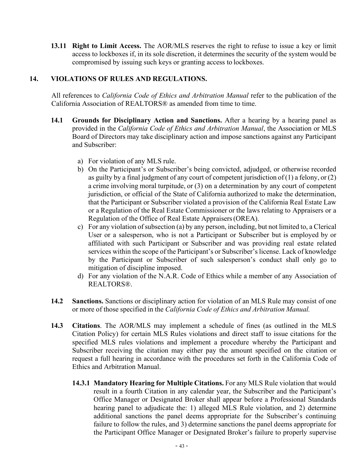<span id="page-44-0"></span>**13.11 Right to Limit Access.** The AOR/MLS reserves the right to refuse to issue a key or limit access to lockboxes if, in its sole discretion, it determines the security of the system would be compromised by issuing such keys or granting access to lockboxes.

#### <span id="page-44-1"></span>**14. VIOLATIONS OF RULES AND REGULATIONS.**

All references to *California Code of Ethics and Arbitration Manual* refer to the publication of the California Association of REALTORS® as amended from time to time.

- <span id="page-44-2"></span>**14.1 Grounds for Disciplinary Action and Sanctions.** After a hearing by a hearing panel as provided in the *California Code of Ethics and Arbitration Manual*, the Association or MLS Board of Directors may take disciplinary action and impose sanctions against any Participant and Subscriber:
	- a) For violation of any MLS rule.
	- b) On the Participant's or Subscriber's being convicted, adjudged, or otherwise recorded as guilty by a final judgment of any court of competent jurisdiction of  $(1)$  a felony, or  $(2)$ a crime involving moral turpitude, or (3) on a determination by any court of competent jurisdiction, or official of the State of California authorized to make the determination, that the Participant or Subscriber violated a provision of the California Real Estate Law or a Regulation of the Real Estate Commissioner or the laws relating to Appraisers or a Regulation of the Office of Real Estate Appraisers(OREA).
	- c) For any violation ofsubsection (a) by any person, including, but not limited to, a Clerical User or a salesperson, who is not a Participant or Subscriber but is employed by or affiliated with such Participant or Subscriber and was providing real estate related services within the scope of the Participant's or Subscriber's license. Lack of knowledge by the Participant or Subscriber of such salesperson's conduct shall only go to mitigation of discipline imposed.
	- d) For any violation of the N.A.R. Code of Ethics while a member of any Association of REALTORS®.
- <span id="page-44-3"></span>**14.2 Sanctions.** Sanctions or disciplinary action for violation of an MLS Rule may consist of one or more of those specified in the *California Code of Ethics and Arbitration Manual.*
- <span id="page-44-5"></span><span id="page-44-4"></span>**14.3 Citations**. The AOR/MLS may implement a schedule of fines (as outlined in the MLS Citation Policy) for certain MLS Rules violations and direct staff to issue citations for the specified MLS rules violations and implement a procedure whereby the Participant and Subscriber receiving the citation may either pay the amount specified on the citation or request a full hearing in accordance with the procedures set forth in the California Code of Ethics and Arbitration Manual.
	- **14.3.1 Mandatory Hearing for Multiple Citations.** For any MLS Rule violation that would result in a fourth Citation in any calendar year, the Subscriber and the Participant's Office Manager or Designated Broker shall appear before a Professional Standards hearing panel to adjudicate the: 1) alleged MLS Rule violation, and 2) determine additional sanctions the panel deems appropriate for the Subscriber's continuing failure to follow the rules, and 3) determine sanctions the panel deems appropriate for the Participant Office Manager or Designated Broker's failure to properly supervise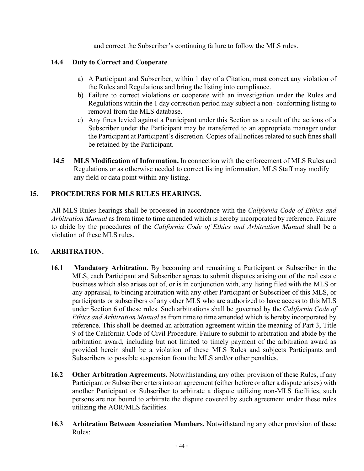and correct the Subscriber's continuing failure to follow the MLS rules.

#### <span id="page-45-0"></span>**14.4 Duty to Correct and Cooperate**.

- a) A Participant and Subscriber, within 1 day of a Citation, must correct any violation of the Rules and Regulations and bring the listing into compliance.
- b) Failure to correct violations or cooperate with an investigation under the Rules and Regulations within the 1 day correction period may subject a non- conforming listing to removal from the MLS database.
- c) Any fines levied against a Participant under this Section as a result of the actions of a Subscriber under the Participant may be transferred to an appropriate manager under the Participant at Participant's discretion. Copies of all notices related to such fines shall be retained by the Participant.
- <span id="page-45-1"></span>**14.5 MLS Modification of Information.** In connection with the enforcement of MLS Rules and Regulations or as otherwise needed to correct listing information, MLS Staff may modify any field or data point within any listing.

#### <span id="page-45-2"></span>**15. PROCEDURES FOR MLS RULES HEARINGS.**

All MLS Rules hearings shall be processed in accordance with the *California Code of Ethics and Arbitration Manual* as from time to time amended which is hereby incorporated by reference. Failure to abide by the procedures of the *California Code of Ethics and Arbitration Manual* shall be a violation of these MLS rules.

#### <span id="page-45-3"></span>**16. ARBITRATION.**

- <span id="page-45-4"></span>**16.1 Mandatory Arbitration**. By becoming and remaining a Participant or Subscriber in the MLS, each Participant and Subscriber agrees to submit disputes arising out of the real estate business which also arises out of, or is in conjunction with, any listing filed with the MLS or any appraisal, to binding arbitration with any other Participant or Subscriber of this MLS, or participants or subscribers of any other MLS who are authorized to have access to this MLS under Section 6 of these rules. Such arbitrations shall be governed by the *California Code of Ethics and Arbitration Manual* as from time to time amended which is hereby incorporated by reference. This shall be deemed an arbitration agreement within the meaning of Part 3, Title 9 of the California Code of Civil Procedure. Failure to submit to arbitration and abide by the arbitration award, including but not limited to timely payment of the arbitration award as provided herein shall be a violation of these MLS Rules and subjects Participants and Subscribers to possible suspension from the MLS and/or other penalties.
- <span id="page-45-5"></span>**16.2 Other Arbitration Agreements.** Notwithstanding any other provision of these Rules, if any Participant or Subscriber enters into an agreement (either before or after a dispute arises) with another Participant or Subscriber to arbitrate a dispute utilizing non-MLS facilities, such persons are not bound to arbitrate the dispute covered by such agreement under these rules utilizing the AOR/MLS facilities.
- <span id="page-45-6"></span>**16.3 Arbitration Between Association Members.** Notwithstanding any other provision of these Rules: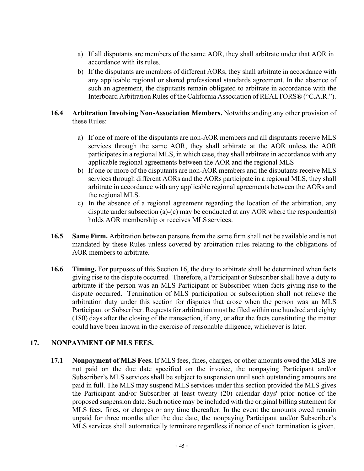- a) If all disputants are members of the same AOR, they shall arbitrate under that AOR in accordance with its rules.
- b) If the disputants are members of different AORs, they shall arbitrate in accordance with any applicable regional or shared professional standards agreement. In the absence of such an agreement, the disputants remain obligated to arbitrate in accordance with the Interboard Arbitration Rules of the California Association of REALTORS® ("C.A.R.").

#### <span id="page-46-0"></span>**16.4 Arbitration Involving Non-Association Members.** Notwithstanding any other provision of these Rules:

- a) If one of more of the disputants are non-AOR members and all disputants receive MLS services through the same AOR, they shall arbitrate at the AOR unless the AOR participates in a regional MLS, in which case, they shall arbitrate in accordance with any applicable regional agreements between the AOR and the regional MLS
- b) If one or more of the disputants are non-AOR members and the disputants receive MLS services through different AORs and the AORs participate in a regional MLS, they shall arbitrate in accordance with any applicable regional agreements between the AORs and the regional MLS.
- c) In the absence of a regional agreement regarding the location of the arbitration, any dispute under subsection (a)-(c) may be conducted at any AOR where the respondent(s) holds AOR membership or receives MLS services.
- <span id="page-46-1"></span>**16.5 Same Firm.** Arbitration between persons from the same firm shall not be available and is not mandated by these Rules unless covered by arbitration rules relating to the obligations of AOR members to arbitrate.
- <span id="page-46-2"></span>**16.6 Timing.** For purposes of this Section 16, the duty to arbitrate shall be determined when facts giving rise to the dispute occurred. Therefore, a Participant or Subscriber shall have a duty to arbitrate if the person was an MLS Participant or Subscriber when facts giving rise to the dispute occurred. Termination of MLS participation or subscription shall not relieve the arbitration duty under this section for disputes that arose when the person was an MLS Participant or Subscriber. Requests for arbitration must be filed within one hundred and eighty (180) days after the closing of the transaction, if any, or after the facts constituting the matter could have been known in the exercise of reasonable diligence, whichever is later.

#### <span id="page-46-4"></span><span id="page-46-3"></span>**17. NONPAYMENT OF MLS FEES.**

**17.1 Nonpayment of MLS Fees.** If MLS fees, fines, charges, or other amounts owed the MLS are not paid on the due date specified on the invoice, the nonpaying Participant and/or Subscriber's MLS services shall be subject to suspension until such outstanding amounts are paid in full. The MLS may suspend MLS services under this section provided the MLS gives the Participant and/or Subscriber at least twenty (20) calendar days' prior notice of the proposed suspension date. Such notice may be included with the original billing statement for MLS fees, fines, or charges or any time thereafter. In the event the amounts owed remain unpaid for three months after the due date, the nonpaying Participant and/or Subscriber's MLS services shall automatically terminate regardless if notice of such termination is given.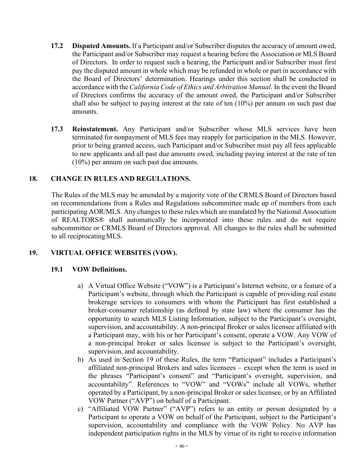- <span id="page-47-0"></span>**17.2 Disputed Amounts.** If a Participant and/or Subscriber disputes the accuracy of amount owed, the Participant and/or Subscriber may request a hearing before the Association or MLS Board of Directors. In order to request such a hearing, the Participant and/or Subscriber must first pay the disputed amount in whole which may be refunded in whole or part in accordance with the Board of Directors' determination. Hearings under this section shall be conducted in accordance with the *California Code of Ethics and Arbitration Manual*. In the event the Board of Directors confirms the accuracy of the amount owed, the Participant and/or Subscriber shall also be subject to paying interest at the rate of ten (10%) per annum on such past due amounts.
- <span id="page-47-1"></span>**17.3 Reinstatement.** Any Participant and/or Subscriber whose MLS services have been terminated for nonpayment of MLS fees may reapply for participation in the MLS. However, prior to being granted access, such Participant and/or Subscriber must pay all fees applicable to new applicants and all past due amounts owed, including paying interest at the rate of ten (10%) per annum on such past due amounts.

#### <span id="page-47-2"></span>**18. CHANGE IN RULES AND REGULATIONS.**

The Rules of the MLS may be amended by a majority vote of the CRMLS Board of Directors based on recommendations from a Rules and Regulations subcommittee made up of members from each participating AOR/MLS. Any changes to these rules which are mandated by the National Association of REALTORS® shall automatically be incorporated into these rules and do not require subcommittee or CRMLS Board of Directors approval. All changes to the rules shall be submitted to all reciprocatingMLS.

#### <span id="page-47-4"></span><span id="page-47-3"></span>**19. VIRTUAL OFFICE WEBSITES (VOW).**

#### **19.1 VOW Definitions.**

- a) A Virtual Office Website ("VOW") is a Participant's Internet website, or a feature of a Participant's website, through which the Participant is capable of providing real estate brokerage services to consumers with whom the Participant has first established a broker-consumer relationship (as defined by state law) where the consumer has the opportunity to search MLS Listing Information, subject to the Participant's oversight, supervision, and accountability. A non-principal Broker or sales licensee affiliated with a Participant may, with his or her Participant's consent, operate a VOW. Any VOW of a non-principal broker or sales licensee is subject to the Participant's oversight, supervision, and accountability.
- b) As used in Section 19 of these Rules, the term "Participant" includes a Participant's affiliated non-principal Brokers and sales licensees – except when the term is used in the phrases "Participant's consent" and "Participant's oversight, supervision, and accountability". References to "VOW" and "VOWs" include all VOWs, whether operated by a Participant, by a non-principal Broker or sales licensee, or by an Affiliated VOW Partner ("AVP") on behalf of a Participant.
- c) "Affiliated VOW Partner" ("AVP") refers to an entity or person designated by a Participant to operate a VOW on behalf of the Participant, subject to the Participant's supervision, accountability and compliance with the VOW Policy. No AVP has independent participation rights in the MLS by virtue of its right to receive information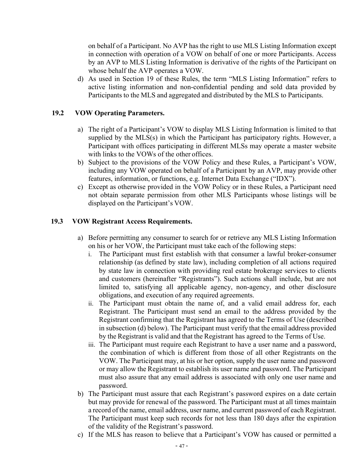on behalf of a Participant. No AVP has the right to use MLS Listing Information except in connection with operation of a VOW on behalf of one or more Participants. Access by an AVP to MLS Listing Information is derivative of the rights of the Participant on whose behalf the AVP operates a VOW.

d) As used in Section 19 of these Rules, the term "MLS Listing Information" refers to active listing information and non-confidential pending and sold data provided by Participants to the MLS and aggregated and distributed by the MLS to Participants.

#### <span id="page-48-0"></span>**19.2 VOW Operating Parameters.**

- a) The right of a Participant's VOW to display MLS Listing Information is limited to that supplied by the MLS(s) in which the Participant has participatory rights. However, a Participant with offices participating in different MLSs may operate a master website with links to the VOWs of the other offices.
- b) Subject to the provisions of the VOW Policy and these Rules, a Participant's VOW, including any VOW operated on behalf of a Participant by an AVP, may provide other features, information, or functions, e.g. Internet Data Exchange ("IDX").
- c) Except as otherwise provided in the VOW Policy or in these Rules, a Participant need not obtain separate permission from other MLS Participants whose listings will be displayed on the Participant's VOW.

#### <span id="page-48-1"></span>**19.3 VOW Registrant Access Requirements.**

- a) Before permitting any consumer to search for or retrieve any MLS Listing Information on his or her VOW, the Participant must take each of the following steps:
	- i. The Participant must first establish with that consumer a lawful broker-consumer relationship (as defined by state law), including completion of all actions required by state law in connection with providing real estate brokerage services to clients and customers (hereinafter "Registrants"). Such actions shall include, but are not limited to, satisfying all applicable agency, non-agency, and other disclosure obligations, and execution of any required agreements.
	- ii. The Participant must obtain the name of, and a valid email address for, each Registrant. The Participant must send an email to the address provided by the Registrant confirming that the Registrant has agreed to the Terms of Use (described in subsection (d) below). The Participant must verify that the email address provided by the Registrant is valid and that the Registrant has agreed to the Terms of Use.
	- iii. The Participant must require each Registrant to have a user name and a password, the combination of which is different from those of all other Registrants on the VOW. The Participant may, at his or her option, supply the user name and password or may allow the Registrant to establish its user name and password. The Participant must also assure that any email address is associated with only one user name and password.
- b) The Participant must assure that each Registrant's password expires on a date certain but may provide for renewal of the password. The Participant must at all times maintain a record of the name, email address, user name, and current password of each Registrant. The Participant must keep such records for not less than 180 days after the expiration of the validity of the Registrant's password.
- c) If the MLS has reason to believe that a Participant's VOW has caused or permitted a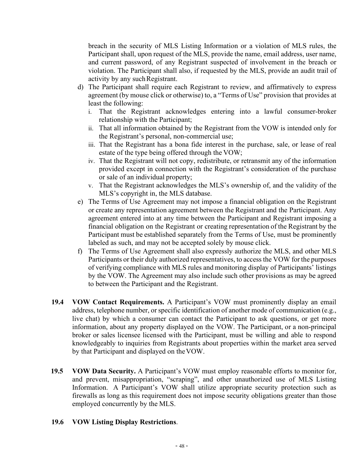breach in the security of MLS Listing Information or a violation of MLS rules, the Participant shall, upon request of the MLS, provide the name, email address, user name, and current password, of any Registrant suspected of involvement in the breach or violation. The Participant shall also, if requested by the MLS, provide an audit trail of activity by any suchRegistrant.

- d) The Participant shall require each Registrant to review, and affirmatively to express agreement (by mouse click or otherwise) to, a "Terms of Use" provision that provides at least the following:
	- i. That the Registrant acknowledges entering into a lawful consumer-broker relationship with the Participant;
	- ii. That all information obtained by the Registrant from the VOW is intended only for the Registrant's personal, non-commercial use;
	- iii. That the Registrant has a bona fide interest in the purchase, sale, or lease of real estate of the type being offered through the VOW;
	- iv. That the Registrant will not copy, redistribute, or retransmit any of the information provided except in connection with the Registrant's consideration of the purchase or sale of an individual property;
	- v. That the Registrant acknowledges the MLS's ownership of, and the validity of the MLS's copyright in, the MLS database.
- e) The Terms of Use Agreement may not impose a financial obligation on the Registrant or create any representation agreement between the Registrant and the Participant. Any agreement entered into at any time between the Participant and Registrant imposing a financial obligation on the Registrant or creating representation of the Registrant by the Participant must be established separately from the Terms of Use, must be prominently labeled as such, and may not be accepted solely by mouse click.
- f) The Terms of Use Agreement shall also expressly authorize the MLS, and other MLS Participants or their duly authorized representatives, to access the VOW for the purposes of verifying compliance with MLS rules and monitoring display of Participants' listings by the VOW. The Agreement may also include such other provisions as may be agreed to between the Participant and the Registrant.
- <span id="page-49-0"></span>**19.4 VOW Contact Requirements.** A Participant's VOW must prominently display an email address, telephone number, or specific identification of another mode of communication (e.g., live chat) by which a consumer can contact the Participant to ask questions, or get more information, about any property displayed on the VOW. The Participant, or a non-principal broker or sales licensee licensed with the Participant, must be willing and able to respond knowledgeably to inquiries from Registrants about properties within the market area served by that Participant and displayed on theVOW.
- <span id="page-49-1"></span>**19.5 VOW Data Security.** A Participant's VOW must employ reasonable efforts to monitor for, and prevent, misappropriation, "scraping", and other unauthorized use of MLS Listing Information. A Participant's VOW shall utilize appropriate security protection such as firewalls as long as this requirement does not impose security obligations greater than those employed concurrently by the MLS.

#### <span id="page-49-2"></span>**19.6 VOW Listing Display Restrictions**.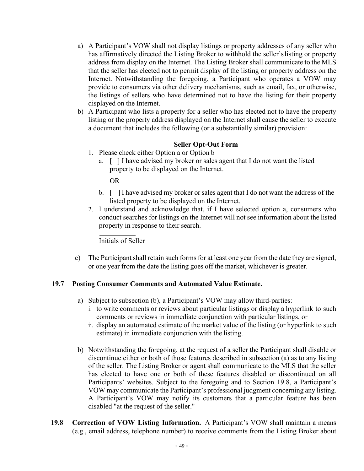- a) A Participant's VOW shall not display listings or property addresses of any seller who has affirmatively directed the Listing Broker to withhold the seller'slisting or property address from display on the Internet. The Listing Broker shall communicate to the MLS that the seller has elected not to permit display of the listing or property address on the Internet. Notwithstanding the foregoing, a Participant who operates a VOW may provide to consumers via other delivery mechanisms, such as email, fax, or otherwise, the listings of sellers who have determined not to have the listing for their property displayed on the Internet.
- b) A Participant who lists a property for a seller who has elected not to have the property listing or the property address displayed on the Internet shall cause the seller to execute a document that includes the following (or a substantially similar) provision:

#### **Seller Opt-Out Form**

- 1. Please check either Option a or Option b
	- a. [ ] I have advised my broker or sales agent that I do not want the listed property to be displayed on the Internet.

OR

- b. [ ] I have advised my broker or sales agent that I do not want the address of the listed property to be displayed on the Internet.
- 2. I understand and acknowledge that, if I have selected option a, consumers who conduct searches for listings on the Internet will not see information about the listed property in response to their search.

Initials of Seller

c) The Participant shall retain such forms for at least one year from the date they are signed, or one year from the date the listing goes off the market, whichever is greater.

#### <span id="page-50-0"></span>**19.7 Posting Consumer Comments and Automated Value Estimate.**

- a) Subject to subsection (b), a Participant's VOW may allow third-parties:
	- i. to write comments or reviews about particular listings or display a hyperlink to such comments or reviews in immediate conjunction with particular listings, or
	- ii. display an automated estimate of the market value of the listing (or hyperlink to such estimate) in immediate conjunction with the listing.
- b) Notwithstanding the foregoing, at the request of a seller the Participant shall disable or discontinue either or both of those features described in subsection (a) as to any listing of the seller. The Listing Broker or agent shall communicate to the MLS that the seller has elected to have one or both of these features disabled or discontinued on all Participants' websites. Subject to the foregoing and to Section 19.8, a Participant's VOW may communicate the Participant's professional judgment concerning any listing. A Participant's VOW may notify its customers that a particular feature has been disabled "at the request of the seller."
- <span id="page-50-1"></span>**19.8 Correction of VOW Listing Information.** A Participant's VOW shall maintain a means (e.g., email address, telephone number) to receive comments from the Listing Broker about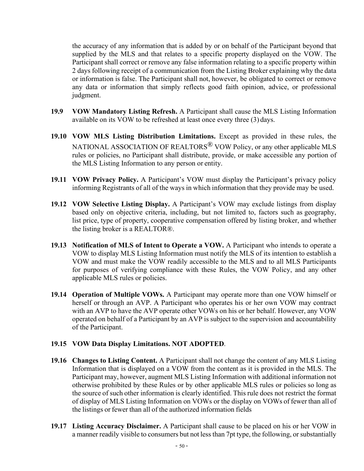the accuracy of any information that is added by or on behalf of the Participant beyond that supplied by the MLS and that relates to a specific property displayed on the VOW. The Participant shall correct or remove any false information relating to a specific property within 2 days following receipt of a communication from the Listing Broker explaining why the data or information is false. The Participant shall not, however, be obligated to correct or remove any data or information that simply reflects good faith opinion, advice, or professional judgment.

- <span id="page-51-0"></span>**19.9 VOW Mandatory Listing Refresh.** A Participant shall cause the MLS Listing Information available on its VOW to be refreshed at least once every three (3) days.
- <span id="page-51-1"></span>**19.10 VOW MLS Listing Distribution Limitations.** Except as provided in these rules, the NATIONAL ASSOCIATION OF REALTORS<sup>®</sup> VOW Policy, or any other applicable MLS rules or policies, no Participant shall distribute, provide, or make accessible any portion of the MLS Listing Information to any person or entity.
- <span id="page-51-2"></span>**19.11 VOW Privacy Policy.** A Participant's VOW must display the Participant's privacy policy informing Registrants of all of the ways in which information that they provide may be used.
- <span id="page-51-3"></span>**19.12 VOW Selective Listing Display.** A Participant's VOW may exclude listings from display based only on objective criteria, including, but not limited to, factors such as geography, list price, type of property, cooperative compensation offered by listing broker, and whether the listing broker is a REALTOR®.
- <span id="page-51-4"></span>**19.13 Notification of MLS of Intent to Operate a VOW.** A Participant who intends to operate a VOW to display MLS Listing Information must notify the MLS of its intention to establish a VOW and must make the VOW readily accessible to the MLS and to all MLS Participants for purposes of verifying compliance with these Rules, the VOW Policy, and any other applicable MLS rules or policies.
- <span id="page-51-5"></span>**19.14 Operation of Multiple VOWs.** A Participant may operate more than one VOW himself or herself or through an AVP. A Participant who operates his or her own VOW may contract with an AVP to have the AVP operate other VOWs on his or her behalf. However, any VOW operated on behalf of a Participant by an AVP is subject to the supervision and accountability of the Participant.

#### <span id="page-51-6"></span>**19.15 VOW Data Display Limitations. NOT ADOPTED**.

- <span id="page-51-7"></span>**19.16 Changes to Listing Content.** A Participant shall not change the content of any MLS Listing Information that is displayed on a VOW from the content as it is provided in the MLS. The Participant may, however, augment MLS Listing Information with additional information not otherwise prohibited by these Rules or by other applicable MLS rules or policies so long as the source of such other information is clearly identified. This rule does not restrict the format of display of MLS Listing Information on VOWs or the display on VOWs of fewer than all of the listings or fewer than all of the authorized information fields
- <span id="page-51-8"></span>**19.17 Listing Accuracy Disclaimer.** A Participant shall cause to be placed on his or her VOW in a manner readily visible to consumers but not less than 7pt type, the following, or substantially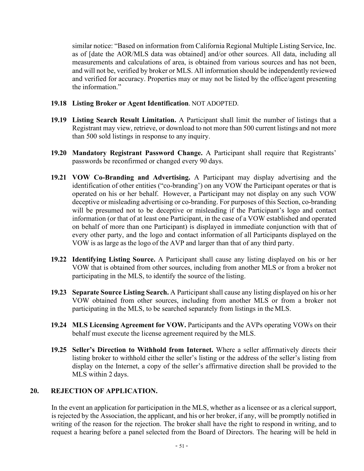similar notice: "Based on information from California Regional Multiple Listing Service, Inc. as of [date the AOR/MLS data was obtained] and/or other sources. All data, including all measurements and calculations of area, is obtained from various sources and has not been, and will not be, verified by broker or MLS. All information should be independently reviewed and verified for accuracy. Properties may or may not be listed by the office/agent presenting the information."

#### <span id="page-52-0"></span>**19.18 Listing Broker or Agent Identification**. NOT ADOPTED.

- <span id="page-52-1"></span>**19.19 Listing Search Result Limitation.** A Participant shall limit the number of listings that a Registrant may view, retrieve, or download to not more than 500 current listings and not more than 500 sold listings in response to any inquiry.
- <span id="page-52-2"></span>**19.20 Mandatory Registrant Password Change.** A Participant shall require that Registrants' passwords be reconfirmed or changed every 90 days.
- <span id="page-52-3"></span>**19.21 VOW Co-Branding and Advertising.** A Participant may display advertising and the identification of other entities ("co-branding') on any VOW the Participant operates or that is operated on his or her behalf. However, a Participant may not display on any such VOW deceptive or misleading advertising or co-branding. For purposes of this Section, co-branding will be presumed not to be deceptive or misleading if the Participant's logo and contact information (or that of at least one Participant, in the case of a VOW established and operated on behalf of more than one Participant) is displayed in immediate conjunction with that of every other party, and the logo and contact information of all Participants displayed on the VOW is as large as the logo of the AVP and larger than that of any third party.
- <span id="page-52-4"></span>**19.22 Identifying Listing Source.** A Participant shall cause any listing displayed on his or her VOW that is obtained from other sources, including from another MLS or from a broker not participating in the MLS, to identify the source of the listing.
- <span id="page-52-5"></span>**19.23 Separate Source Listing Search.** A Participant shall cause any listing displayed on his or her VOW obtained from other sources, including from another MLS or from a broker not participating in the MLS, to be searched separately from listings in the MLS.
- <span id="page-52-6"></span>**19.24 MLS Licensing Agreement for VOW.** Participants and the AVPs operating VOWs on their behalf must execute the license agreement required by the MLS.
- <span id="page-52-7"></span>**19.25 Seller's Direction to Withhold from Internet.** Where a seller affirmatively directs their listing broker to withhold either the seller's listing or the address of the seller's listing from display on the Internet, a copy of the seller's affirmative direction shall be provided to the MLS within 2 days.

#### <span id="page-52-8"></span>**20. REJECTION OF APPLICATION.**

In the event an application for participation in the MLS, whether as a licensee or as a clerical support, is rejected by the Association, the applicant, and his or her broker, if any, will be promptly notified in writing of the reason for the rejection. The broker shall have the right to respond in writing, and to request a hearing before a panel selected from the Board of Directors. The hearing will be held in